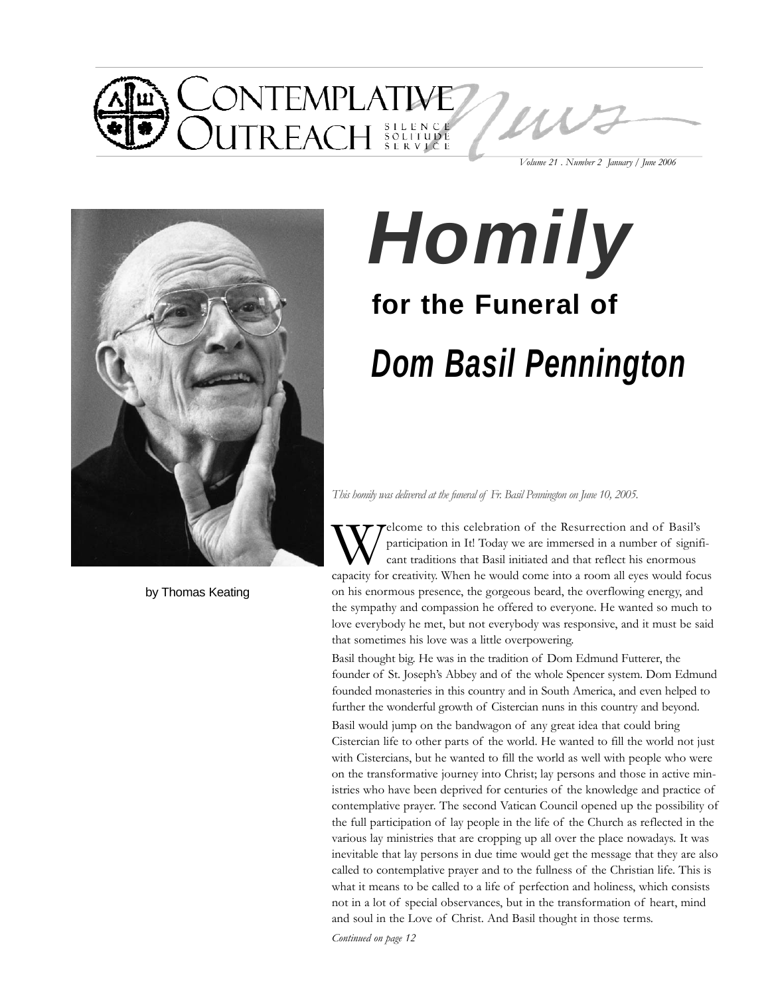

by Thomas Keating

# *Dom Basil Pennington Homily* **for the Funeral of**

*This homily was delivered at the funeral of Fr. Basil Pennington on June 10, 2005.*

relcome to this celebration of the Resurrection and of Basil's participation in It! Today we are immersed in a number of significant traditions that Basil initiated and that reflect his enormous capacity for creativity. When he would come into a room all eyes would focus on his enormous presence, the gorgeous beard, the overflowing energy, and the sympathy and compassion he offered to everyone. He wanted so much to love everybody he met, but not everybody was responsive, and it must be said that sometimes his love was a little overpowering.

Basil thought big. He was in the tradition of Dom Edmund Futterer, the founder of St. Joseph's Abbey and of the whole Spencer system. Dom Edmund founded monasteries in this country and in South America, and even helped to further the wonderful growth of Cistercian nuns in this country and beyond.

Basil would jump on the bandwagon of any great idea that could bring Cistercian life to other parts of the world. He wanted to fill the world not just with Cistercians, but he wanted to fill the world as well with people who were on the transformative journey into Christ; lay persons and those in active ministries who have been deprived for centuries of the knowledge and practice of contemplative prayer. The second Vatican Council opened up the possibility of the full participation of lay people in the life of the Church as reflected in the various lay ministries that are cropping up all over the place nowadays. It was inevitable that lay persons in due time would get the message that they are also called to contemplative prayer and to the fullness of the Christian life. This is what it means to be called to a life of perfection and holiness, which consists not in a lot of special observances, but in the transformation of heart, mind and soul in the Love of Christ. And Basil thought in those terms.

*Continued on page 12*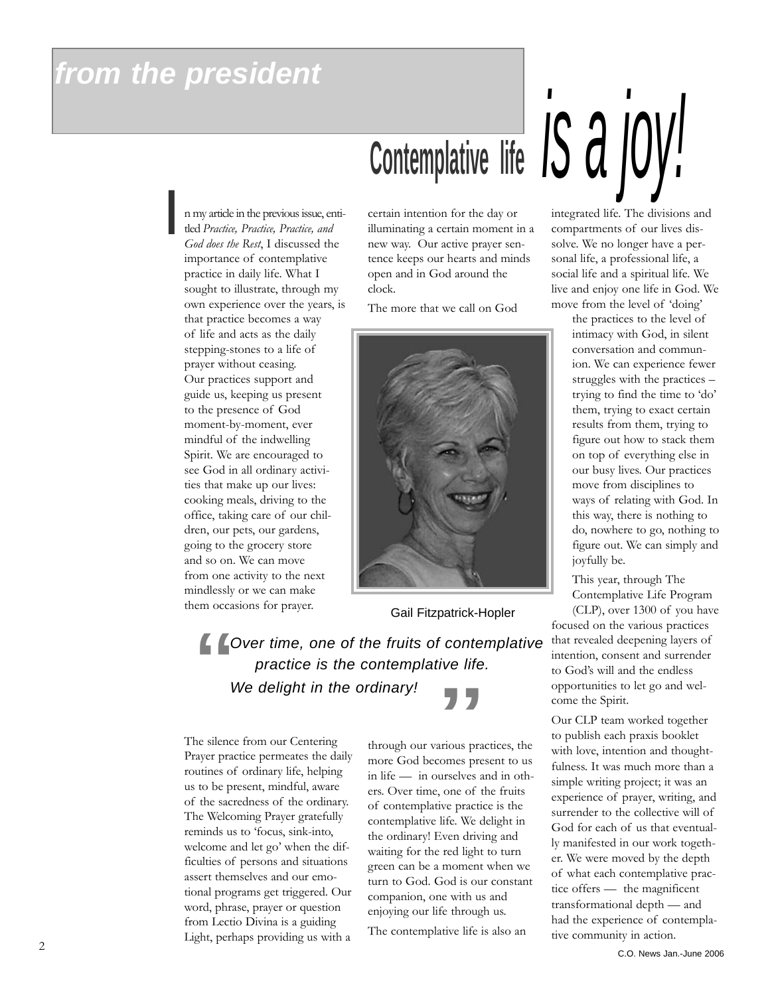# *from the president*

n my article in the previous issue, entitled *Practice, Practice, Practice, and God does the Rest*, I discussed the importance of contemplative practice in daily life. What I sought to illustrate, through my own experience over the years, is that practice becomes a way of life and acts as the daily stepping-stones to a life of prayer without ceasing. Our practices support and guide us, keeping us present to the presence of God moment-by-moment, ever mindful of the indwelling Spirit. We are encouraged to see God in all ordinary activities that make up our lives: cooking meals, driving to the office, taking care of our children, our pets, our gardens, going to the grocery store and so on. We can move from one activity to the next mindlessly or we can make them occasions for prayer. *I*

certain intention for the day or illuminating a certain moment in a new way. Our active prayer sentence keeps our hearts and minds open and in God around the clock.

The more that we call on God



Gail Fitzpatrick-Hopler

*Over time, one of the fruits of contemplative practice is the contemplative life.*  " **Example 19 For the contemplative life.**<br> **We delight in the ordinary!**<br> **Example 19 For the ordinary**<br> **Example 19 For the COM**<br> **Example 19 For the Ordinary life, helping**<br> **Example 19 For the COM**<br> **Example 19 For the C** 

The silence from our Centering Prayer practice permeates the daily routines of ordinary life, helping us to be present, mindful, aware of the sacredness of the ordinary. The Welcoming Prayer gratefully reminds us to 'focus, sink-into, welcome and let go' when the difficulties of persons and situations assert themselves and our emotional programs get triggered. Our word, phrase, prayer or question from Lectio Divina is a guiding Light, perhaps providing us with a

through our various practices, the more God becomes present to us in life — in ourselves and in others. Over time, one of the fruits of contemplative practice is the contemplative life. We delight in the ordinary! Even driving and waiting for the red light to turn green can be a moment when we turn to God. God is our constant companion, one with us and enjoying our life through us.

The contemplative life is also an

# Contemplative life *is a joy!*

integrated life. The divisions and compartments of our lives dissolve. We no longer have a personal life, a professional life, a social life and a spiritual life. We live and enjoy one life in God. We move from the level of 'doing'

> the practices to the level of intimacy with God, in silent conversation and communion. We can experience fewer struggles with the practices – trying to find the time to 'do' them, trying to exact certain results from them, trying to figure out how to stack them on top of everything else in our busy lives. Our practices move from disciplines to ways of relating with God. In this way, there is nothing to do, nowhere to go, nothing to figure out. We can simply and joyfully be.

This year, through The Contemplative Life Program

(CLP), over 1300 of you have focused on the various practices that revealed deepening layers of intention, consent and surrender to God's will and the endless opportunities to let go and welcome the Spirit.

Our CLP team worked together to publish each praxis booklet with love, intention and thoughtfulness. It was much more than a simple writing project; it was an experience of prayer, writing, and surrender to the collective will of God for each of us that eventually manifested in our work together. We were moved by the depth of what each contemplative practice offers — the magnificent transformational depth — and had the experience of contemplative community in action.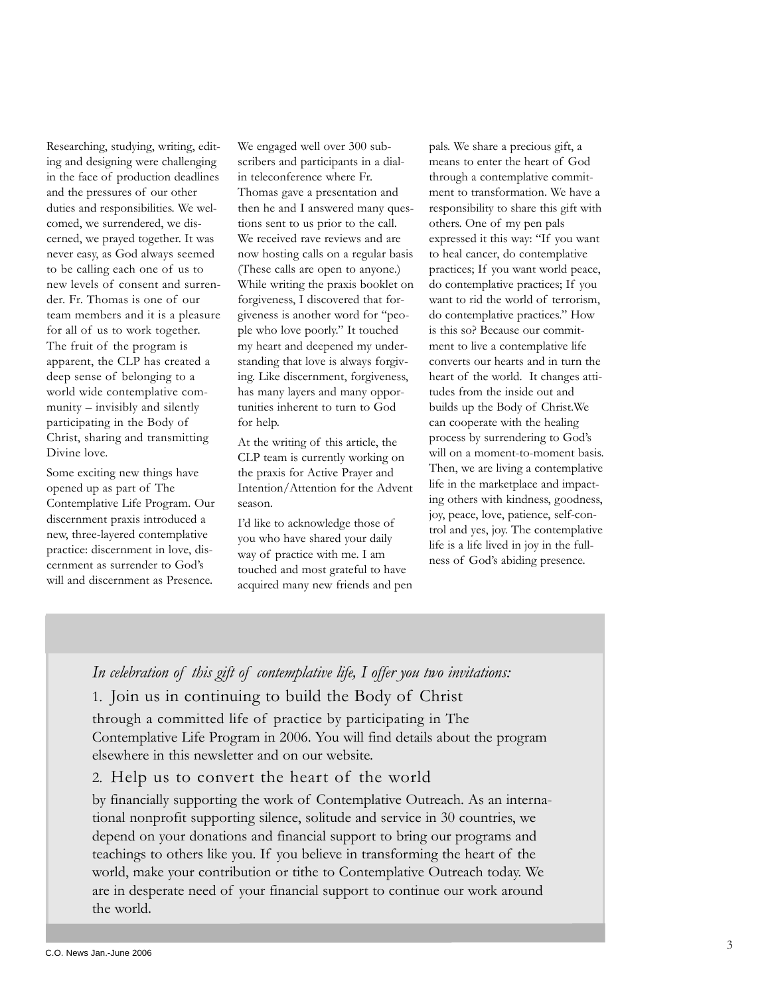Researching, studying, writing, editing and designing were challenging in the face of production deadlines and the pressures of our other duties and responsibilities. We welcomed, we surrendered, we discerned, we prayed together. It was never easy, as God always seemed to be calling each one of us to new levels of consent and surrender. Fr. Thomas is one of our team members and it is a pleasure for all of us to work together. The fruit of the program is apparent, the CLP has created a deep sense of belonging to a world wide contemplative community – invisibly and silently participating in the Body of Christ, sharing and transmitting Divine love.

Some exciting new things have opened up as part of The Contemplative Life Program. Our discernment praxis introduced a new, three-layered contemplative practice: discernment in love, discernment as surrender to God's will and discernment as Presence.

We engaged well over 300 subscribers and participants in a dialin teleconference where Fr. Thomas gave a presentation and then he and I answered many questions sent to us prior to the call. We received rave reviews and are now hosting calls on a regular basis (These calls are open to anyone.) While writing the praxis booklet on forgiveness, I discovered that forgiveness is another word for "people who love poorly." It touched my heart and deepened my understanding that love is always forgiving. Like discernment, forgiveness, has many layers and many opportunities inherent to turn to God for help.

At the writing of this article, the CLP team is currently working on the praxis for Active Prayer and Intention/Attention for the Advent season.

I'd like to acknowledge those of you who have shared your daily way of practice with me. I am touched and most grateful to have acquired many new friends and pen pals. We share a precious gift, a means to enter the heart of God through a contemplative commitment to transformation. We have a responsibility to share this gift with others. One of my pen pals expressed it this way: "If you want to heal cancer, do contemplative practices; If you want world peace, do contemplative practices; If you want to rid the world of terrorism, do contemplative practices." How is this so? Because our commitment to live a contemplative life converts our hearts and in turn the heart of the world. It changes attitudes from the inside out and builds up the Body of Christ.We can cooperate with the healing process by surrendering to God's will on a moment-to-moment basis. Then, we are living a contemplative life in the marketplace and impacting others with kindness, goodness, joy, peace, love, patience, self-control and yes, joy. The contemplative life is a life lived in joy in the fullness of God's abiding presence.

#### *In celebration of this gift of contemplative life, I offer you two invitations:*

#### 1. Join us in continuing to build the Body of Christ

through a committed life of practice by participating in The Contemplative Life Program in 2006. You will find details about the program elsewhere in this newsletter and on our website.

#### 2. Help us to convert the heart of the world

by financially supporting the work of Contemplative Outreach. As an international nonprofit supporting silence, solitude and service in 30 countries, we depend on your donations and financial support to bring our programs and teachings to others like you. If you believe in transforming the heart of the world, make your contribution or tithe to Contemplative Outreach today. We are in desperate need of your financial support to continue our work around the world.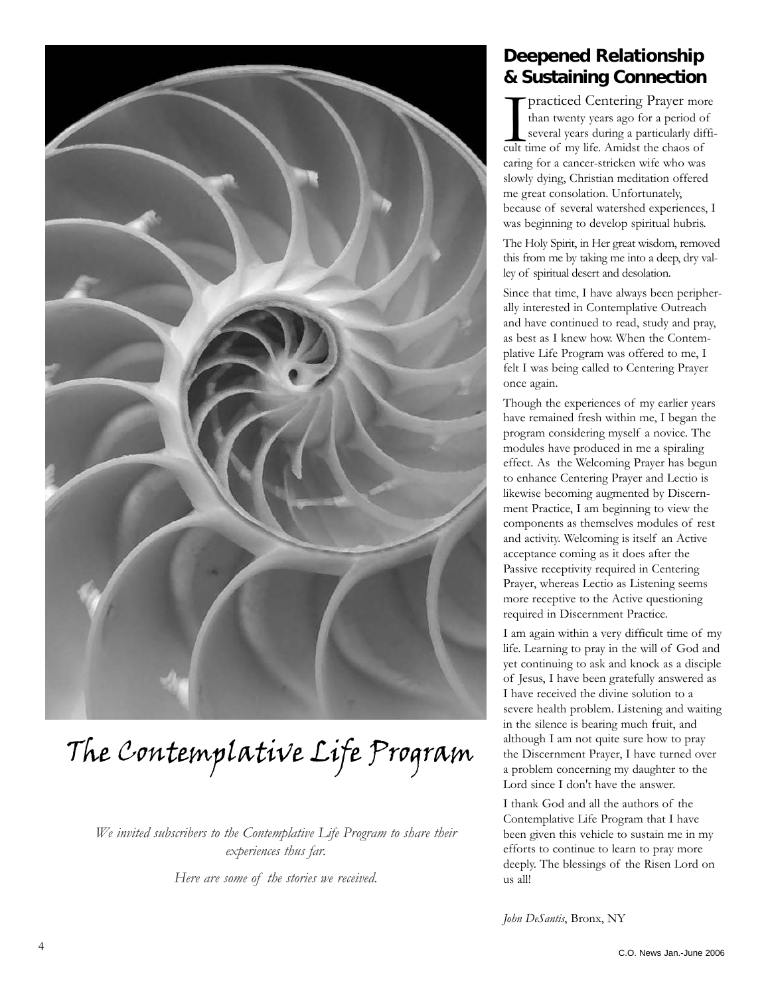

# The Contemplative Life Program

*We invited subscribers to the Contemplative Life Program to share their experiences thus far.* 

*Here are some of the stories we received.*

#### **Deepened Relationship & Sustaining Connection**

practiced Centering Prayer mothan twenty years ago for a period c<br>several years during a particularly di<br>cult time of my life. Amidst the chaos of practiced Centering Prayer more than twenty years ago for a period of several years during a particularly difficaring for a cancer-stricken wife who was slowly dying, Christian meditation offered me great consolation. Unfortunately, because of several watershed experiences, I was beginning to develop spiritual hubris.

The Holy Spirit, in Her great wisdom, removed this from me by taking me into a deep, dry valley of spiritual desert and desolation.

Since that time, I have always been peripherally interested in Contemplative Outreach and have continued to read, study and pray, as best as I knew how. When the Contemplative Life Program was offered to me, I felt I was being called to Centering Prayer once again.

Though the experiences of my earlier years have remained fresh within me, I began the program considering myself a novice. The modules have produced in me a spiraling effect. As the Welcoming Prayer has begun to enhance Centering Prayer and Lectio is likewise becoming augmented by Discernment Practice, I am beginning to view the components as themselves modules of rest and activity. Welcoming is itself an Active acceptance coming as it does after the Passive receptivity required in Centering Prayer, whereas Lectio as Listening seems more receptive to the Active questioning required in Discernment Practice.

I am again within a very difficult time of my life. Learning to pray in the will of God and yet continuing to ask and knock as a disciple of Jesus, I have been gratefully answered as I have received the divine solution to a severe health problem. Listening and waiting in the silence is bearing much fruit, and although I am not quite sure how to pray the Discernment Prayer, I have turned over a problem concerning my daughter to the Lord since I don't have the answer.

I thank God and all the authors of the Contemplative Life Program that I have been given this vehicle to sustain me in my efforts to continue to learn to pray more deeply. The blessings of the Risen Lord on us all!

*John DeSantis*, Bronx, NY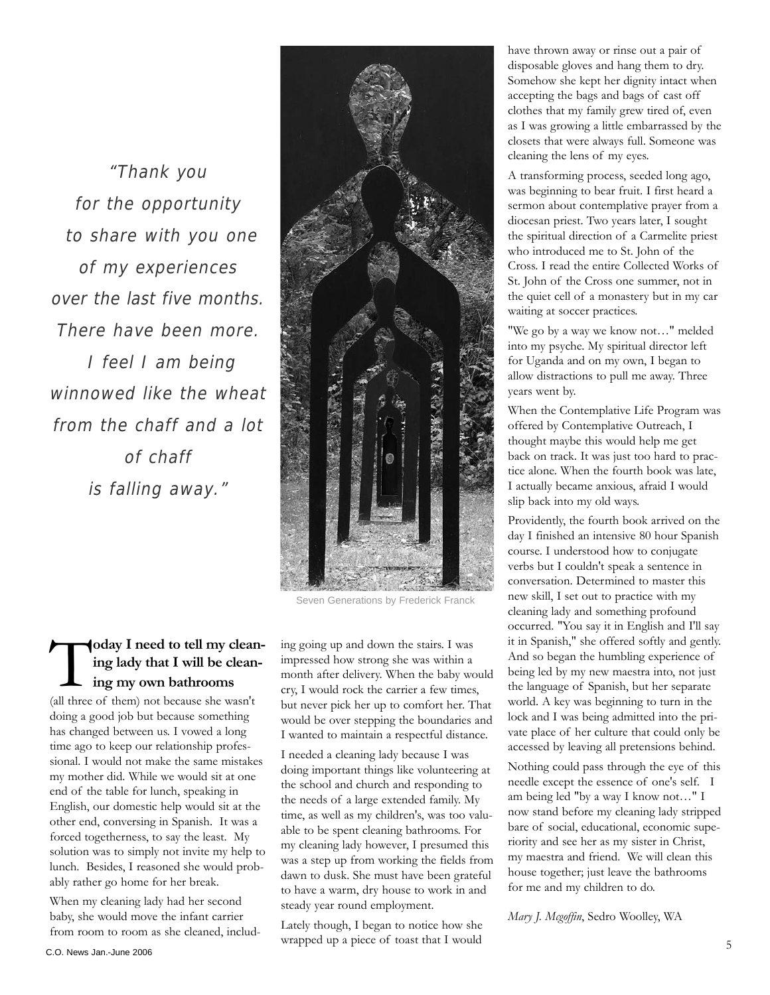"Thank you for the opportunity to share with you one of my experiences over the last five months. There have been more. I feel I am being winnowed like the wheat from the chaff and a lot of chaff is falling away."



Seven Generations by Frederick Franck

#### **Today I need to tell my clean-**<br>
ing lady that I will be clean-<br>
ing my own bathrooms **ing lady that I will be cleaning my own bathrooms**

(all three of them) not because she wasn't doing a good job but because something has changed between us. I vowed a long time ago to keep our relationship professional. I would not make the same mistakes my mother did. While we would sit at one end of the table for lunch, speaking in English, our domestic help would sit at the other end, conversing in Spanish. It was a forced togetherness, to say the least. My solution was to simply not invite my help to lunch. Besides, I reasoned she would probably rather go home for her break.

When my cleaning lady had her second baby, she would move the infant carrier from room to room as she cleaned, including going up and down the stairs. I was impressed how strong she was within a month after delivery. When the baby would cry, I would rock the carrier a few times, but never pick her up to comfort her. That would be over stepping the boundaries and I wanted to maintain a respectful distance.

I needed a cleaning lady because I was doing important things like volunteering at the school and church and responding to the needs of a large extended family. My time, as well as my children's, was too valuable to be spent cleaning bathrooms. For my cleaning lady however, I presumed this was a step up from working the fields from dawn to dusk. She must have been grateful to have a warm, dry house to work in and steady year round employment.

Lately though, I began to notice how she wrapped up a piece of toast that I would 5 C.O. News Jan.-June 2006

have thrown away or rinse out a pair of disposable gloves and hang them to dry. Somehow she kept her dignity intact when accepting the bags and bags of cast off clothes that my family grew tired of, even as I was growing a little embarrassed by the closets that were always full. Someone was cleaning the lens of my eyes.

A transforming process, seeded long ago, was beginning to bear fruit. I first heard a sermon about contemplative prayer from a diocesan priest. Two years later, I sought the spiritual direction of a Carmelite priest who introduced me to St. John of the Cross. I read the entire Collected Works of St. John of the Cross one summer, not in the quiet cell of a monastery but in my car waiting at soccer practices.

"We go by a way we know not…" melded into my psyche. My spiritual director left for Uganda and on my own, I began to allow distractions to pull me away. Three years went by.

When the Contemplative Life Program was offered by Contemplative Outreach, I thought maybe this would help me get back on track. It was just too hard to practice alone. When the fourth book was late, I actually became anxious, afraid I would slip back into my old ways.

Providently, the fourth book arrived on the day I finished an intensive 80 hour Spanish course. I understood how to conjugate verbs but I couldn't speak a sentence in conversation. Determined to master this new skill, I set out to practice with my cleaning lady and something profound occurred. "You say it in English and I'll say it in Spanish," she offered softly and gently. And so began the humbling experience of being led by my new maestra into, not just the language of Spanish, but her separate world. A key was beginning to turn in the lock and I was being admitted into the private place of her culture that could only be accessed by leaving all pretensions behind.

Nothing could pass through the eye of this needle except the essence of one's self. I am being led "by a way I know not…" I now stand before my cleaning lady stripped bare of social, educational, economic superiority and see her as my sister in Christ, my maestra and friend. We will clean this house together; just leave the bathrooms for me and my children to do.

*Mary J. Mcgoffin*, Sedro Woolley, WA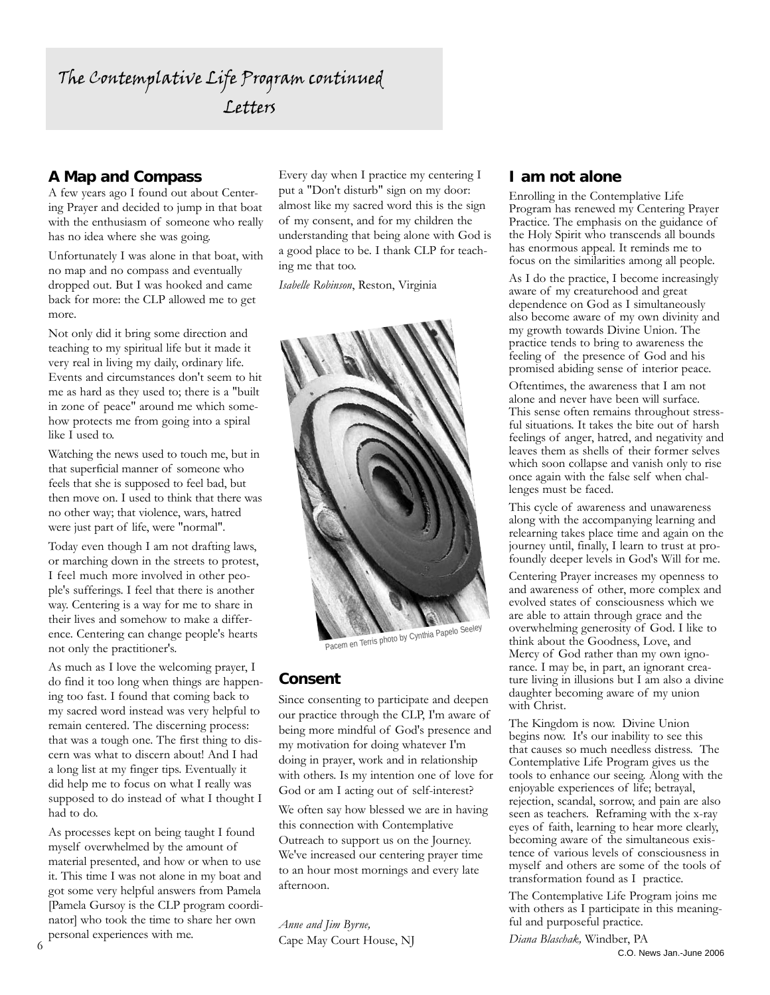#### **A Map and Compass**

A few years ago I found out about Centering Prayer and decided to jump in that boat with the enthusiasm of someone who really has no idea where she was going.

Unfortunately I was alone in that boat, with no map and no compass and eventually dropped out. But I was hooked and came back for more: the CLP allowed me to get more.

Not only did it bring some direction and teaching to my spiritual life but it made it very real in living my daily, ordinary life. Events and circumstances don't seem to hit me as hard as they used to; there is a "built in zone of peace" around me which somehow protects me from going into a spiral like I used to.

Watching the news used to touch me, but in that superficial manner of someone who feels that she is supposed to feel bad, but then move on. I used to think that there was no other way; that violence, wars, hatred were just part of life, were "normal".

Today even though I am not drafting laws, or marching down in the streets to protest, I feel much more involved in other people's sufferings. I feel that there is another way. Centering is a way for me to share in their lives and somehow to make a difference. Centering can change people's hearts not only the practitioner's.

As much as I love the welcoming prayer, I do find it too long when things are happening too fast. I found that coming back to my sacred word instead was very helpful to remain centered. The discerning process: that was a tough one. The first thing to discern was what to discern about! And I had a long list at my finger tips. Eventually it did help me to focus on what I really was supposed to do instead of what I thought I had to do.

As processes kept on being taught I found myself overwhelmed by the amount of material presented, and how or when to use it. This time I was not alone in my boat and got some very helpful answers from Pamela [Pamela Gursoy is the CLP program coordinator] who took the time to share her own personal experiences with me.

Every day when I practice my centering I put a "Don't disturb" sign on my door: almost like my sacred word this is the sign of my consent, and for my children the understanding that being alone with God is a good place to be. I thank CLP for teaching me that too.

*Isabelle Robinson*, Reston, Virginia



Pacem en Terris photo by Cynthia Papelo Seeley

#### **Consent**

Since consenting to participate and deepen our practice through the CLP, I'm aware of being more mindful of God's presence and my motivation for doing whatever I'm doing in prayer, work and in relationship with others. Is my intention one of love for God or am I acting out of self-interest?

We often say how blessed we are in having this connection with Contemplative Outreach to support us on the Journey. We've increased our centering prayer time to an hour most mornings and every late afternoon.

*Anne and Jim Byrne,* Cape May Court House, NJ

#### **I am not alone**

Enrolling in the Contemplative Life Program has renewed my Centering Prayer Practice. The emphasis on the guidance of the Holy Spirit who transcends all bounds has enormous appeal. It reminds me to focus on the similarities among all people.

As I do the practice, I become increasingly aware of my creaturehood and great dependence on God as I simultaneously also become aware of my own divinity and my growth towards Divine Union. The practice tends to bring to awareness the feeling of the presence of God and his promised abiding sense of interior peace.

Oftentimes, the awareness that I am not alone and never have been will surface. This sense often remains throughout stressful situations. It takes the bite out of harsh feelings of anger, hatred, and negativity and leaves them as shells of their former selves which soon collapse and vanish only to rise once again with the false self when challenges must be faced.

This cycle of awareness and unawareness along with the accompanying learning and relearning takes place time and again on the journey until, finally, I learn to trust at profoundly deeper levels in God's Will for me.

Centering Prayer increases my openness to and awareness of other, more complex and evolved states of consciousness which we are able to attain through grace and the overwhelming generosity of God. I like to think about the Goodness, Love, and Mercy of God rather than my own ignorance. I may be, in part, an ignorant creature living in illusions but I am also a divine daughter becoming aware of my union with Christ.

The Kingdom is now. Divine Union begins now. It's our inability to see this that causes so much needless distress. The Contemplative Life Program gives us the tools to enhance our seeing. Along with the enjoyable experiences of life; betrayal, rejection, scandal, sorrow, and pain are also seen as teachers. Reframing with the x-ray eyes of faith, learning to hear more clearly, becoming aware of the simultaneous existence of various levels of consciousness in myself and others are some of the tools of transformation found as I practice.

The Contemplative Life Program joins me with others as I participate in this meaningful and purposeful practice.

*Diana Blaschak,* Windber, PA C.O. News Jan.-June 2006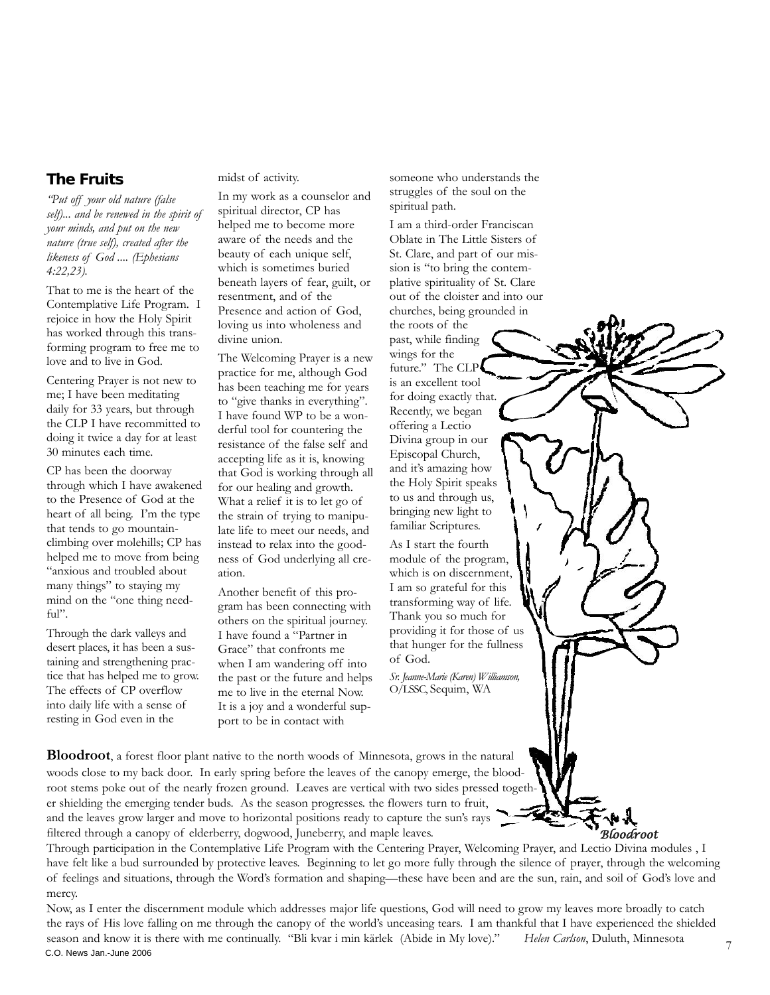#### **The Fruits**

*"Put off your old nature (false self)... and be renewed in the spirit of your minds, and put on the new nature (true self), created after the likeness of God .... (Ephesians 4:22,23).* 

That to me is the heart of the Contemplative Life Program. I rejoice in how the Holy Spirit has worked through this transforming program to free me to love and to live in God.

Centering Prayer is not new to me; I have been meditating daily for 33 years, but through the CLP I have recommitted to doing it twice a day for at least 30 minutes each time.

CP has been the doorway through which I have awakened to the Presence of God at the heart of all being. I'm the type that tends to go mountainclimbing over molehills; CP has helped me to move from being "anxious and troubled about many things" to staying my mind on the "one thing needful".

Through the dark valleys and desert places, it has been a sustaining and strengthening practice that has helped me to grow. The effects of CP overflow into daily life with a sense of resting in God even in the

midst of activity.

In my work as a counselor and spiritual director, CP has helped me to become more aware of the needs and the beauty of each unique self, which is sometimes buried beneath layers of fear, guilt, or resentment, and of the Presence and action of God, loving us into wholeness and divine union.

The Welcoming Prayer is a new practice for me, although God has been teaching me for years to "give thanks in everything". I have found WP to be a wonderful tool for countering the resistance of the false self and accepting life as it is, knowing that God is working through all for our healing and growth. What a relief it is to let go of the strain of trying to manipulate life to meet our needs, and instead to relax into the goodness of God underlying all creation.

Another benefit of this program has been connecting with others on the spiritual journey. I have found a "Partner in Grace" that confronts me when I am wandering off into the past or the future and helps me to live in the eternal Now. It is a joy and a wonderful support to be in contact with

someone who understands the struggles of the soul on the spiritual path.

I am a third-order Franciscan Oblate in The Little Sisters of St. Clare, and part of our mission is "to bring the contemplative spirituality of St. Clare out of the cloister and into our churches, being grounded in

the roots of the past, while finding wings for the future." The CLP is an excellent tool for doing exactly that. Recently, we began offering a Lectio Divina group in our Episcopal Church, and it's amazing how the Holy Spirit speaks to us and through us, bringing new light to familiar Scriptures.

As I start the fourth module of the program, which is on discernment, I am so grateful for this transforming way of life. Thank you so much for providing it for those of us that hunger for the fullness of God.

*Sr. Jeanne-Marie (Karen) Williamson,* O/LSSC, Sequim, WA

**Bloodroot**, a forest floor plant native to the north woods of Minnesota, grows in the natural woods close to my back door. In early spring before the leaves of the canopy emerge, the bloodroot stems poke out of the nearly frozen ground. Leaves are vertical with two sides pressed together shielding the emerging tender buds. As the season progresses. the flowers turn to fruit, and the leaves grow larger and move to horizontal positions ready to capture the sun's rays filtered through a canopy of elderberry, dogwood, Juneberry, and maple leaves.

Through participation in the Contemplative Life Program with the Centering Prayer, Welcoming Prayer, and Lectio Divina modules , I have felt like a bud surrounded by protective leaves. Beginning to let go more fully through the silence of prayer, through the welcoming of feelings and situations, through the Word's formation and shaping—these have been and are the sun, rain, and soil of God's love and mercy.

Now, as I enter the discernment module which addresses major life questions, God will need to grow my leaves more broadly to catch the rays of His love falling on me through the canopy of the world's unceasing tears. I am thankful that I have experienced the shielded season and know it is there with me continually. "Bli kvar i min kärlek (Abide in My love)." *Helen Carlson*, Duluth, Minnesota C.O. News Jan.-June 2006

*Bloodroot*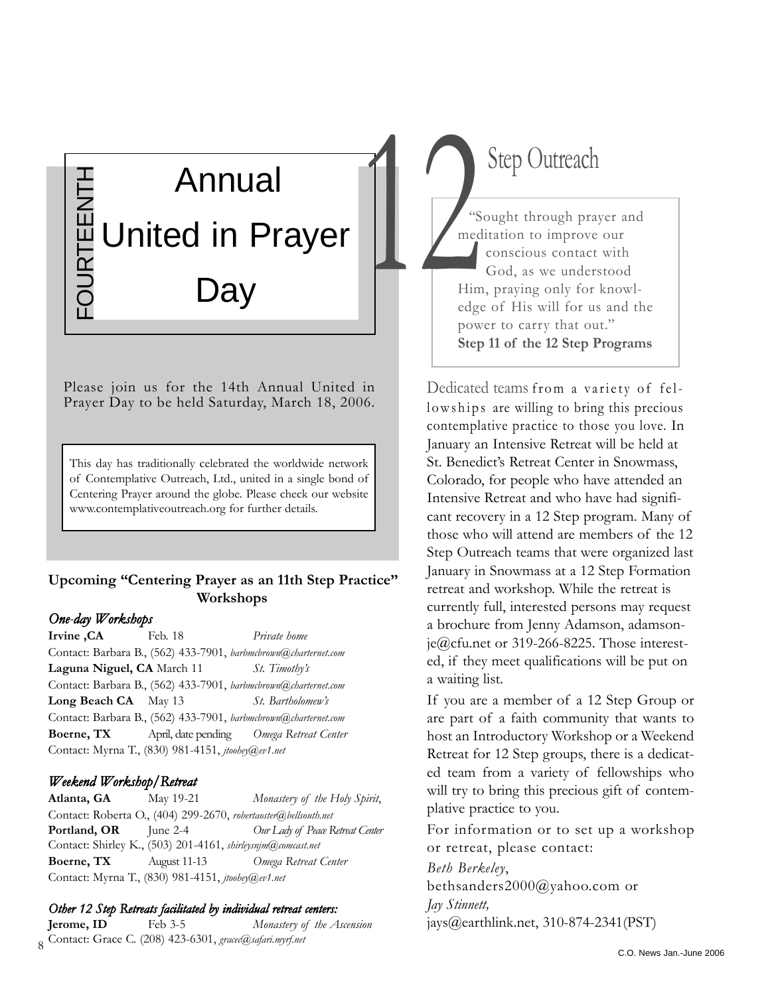## Annual FOURTEENTH **JURTEENTH** United in Prayer lay

Please join us for the 14th Annual United in Prayer Day to be held Saturday, March 18, 2006.

This day has traditionally celebrated the worldwide network of Contemplative Outreach, Ltd., united in a single bond of Centering Prayer around the globe. Please check our website www.contemplativeoutreach.org for further details.

#### **Upcoming "Centering Prayer as an 11th Step Practice" Workshops**

#### *One-day Workshops*

**Irvine ,CA** Feb. 18 *Private home* Contact: Barbara B., (562) 433-7901, *barbmcbrown@charternet.com* **Laguna Niguel, CA** March 11 *St. Timothy's*  Contact: Barbara B., (562) 433-7901, *barbmcbrown@charternet.com* **Long Beach CA** May 13 *St. Bartholomew's*  Contact: Barbara B., (562) 433-7901, *barbmcbrown@charternet.com* **Boerne, TX** April, date pending *Omega Retreat Center* Contact: Myrna T., (830) 981-4151, *jtoohey@ev1.net*

#### *Weekend Workshop/Retreat*

**Atlanta, GA** May 19-21 *Monastery of the Holy Spirit*, Contact: Roberta O., (404) 299-2670, *robertaoster@bellsouth.net* **Portland, OR** June 2-4 *Our Lady of Peace Retreat Center* Contact: Shirley K., (503) 201-4161, *shirleysnjm@comcast.net* **Boerne, TX** August 11-13 *Omega Retreat Center* Contact: Myrna T., (830) 981-4151, *jtoohey@ev1.net*

#### *Other 12 Step Retreats facilitated by individual retreat centers:*

8 Contact: Grace C. (208) 423-6301, *gracec@safari.myrf.net* **Jerome, ID** Feb 3-5 *Monastery of the Ascension*

# Step Outreach

"Sought through prayer and meditation to improve our conscious contact with God, as we understood Him, praying only for knowledge of His will for us and the power to carry that out." **Step 11 of the 12 Step Programs** New York Changes of the Changes of the Changes of the Changes of the Changes of the Changes of the Changes of the Changes of the Changes of the Changes of the Changes of the Changes of the Changes of the Changes of the Cha

> Dedicated teams from a variety of fellowships are willing to bring this precious contemplative practice to those you love. In January an Intensive Retreat will be held at St. Benedict's Retreat Center in Snowmass, Colorado, for people who have attended an Intensive Retreat and who have had significant recovery in a 12 Step program. Many of those who will attend are members of the 12 Step Outreach teams that were organized last January in Snowmass at a 12 Step Formation retreat and workshop. While the retreat is currently full, interested persons may request a brochure from Jenny Adamson, adamsonje@cfu.net or 319-266-8225. Those interested, if they meet qualifications will be put on a waiting list.

If you are a member of a 12 Step Group or are part of a faith community that wants to host an Introductory Workshop or a Weekend Retreat for 12 Step groups, there is a dedicated team from a variety of fellowships who will try to bring this precious gift of contemplative practice to you.

For information or to set up a workshop or retreat, please contact:

*Beth Berkeley*, bethsanders2000@yahoo.com or *Jay Stinnett,* jays@earthlink.net, 310-874-2341(PST)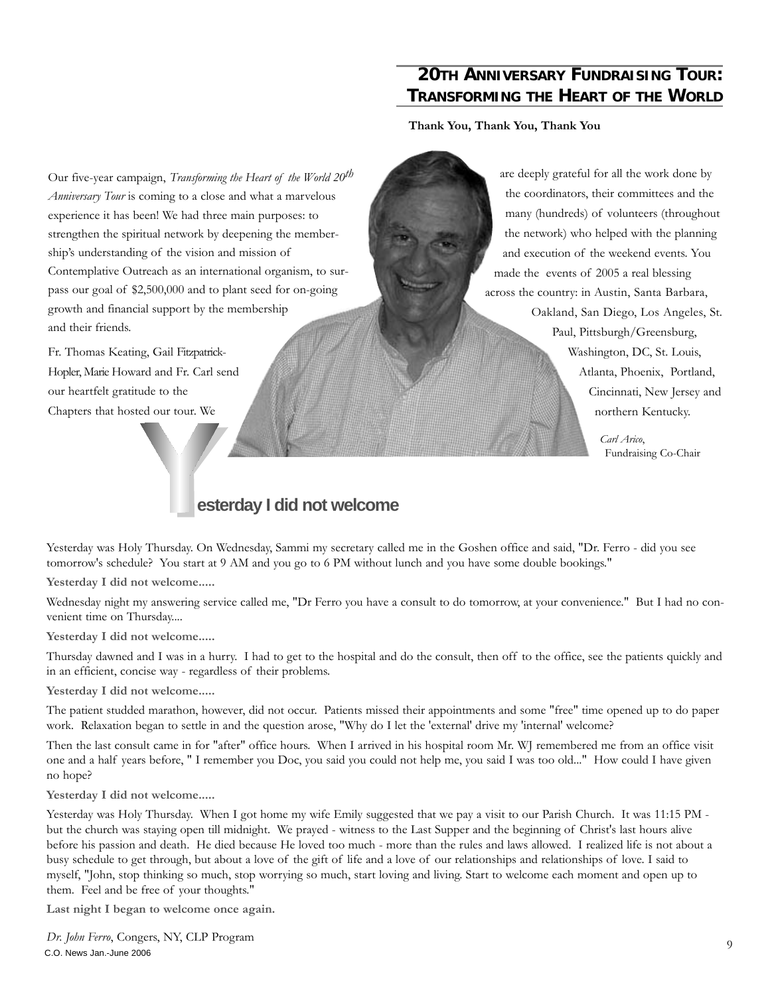#### **20TH ANNIVERSARY FUNDRAISING TOUR: TRANSFORMING THE HEART OF THE WORLD**

**Thank You, Thank You, Thank You**

Our five-year campaign, *Transforming the Heart of the World 20th Anniversary Tour* is coming to a close and what a marvelous experience it has been! We had three main purposes: to strengthen the spiritual network by deepening the membership's understanding of the vision and mission of Contemplative Outreach as an international organism, to surpass our goal of \$2,500,000 and to plant seed for on-going growth and financial support by the membership and their friends.

Fr. Thomas Keating, Gail Fitzpatrick-Hopler, Marie Howard and Fr. Carl send our heartfelt gratitude to the Chapters that hosted our tour. We

are deeply grateful for all the work done by the coordinators, their committees and the many (hundreds) of volunteers (throughout the network) who helped with the planning and execution of the weekend events. You made the events of 2005 a real blessing across the country: in Austin, Santa Barbara, Oakland, San Diego, Los Angeles, St. Paul, Pittsburgh/Greensburg, Washington, DC, St. Louis, Atlanta, Phoenix, Portland, Cincinnati, New Jersey and northern Kentucky.

> *Carl Arico*, Fundraising Co-Chair

#### **esterday I did not welcome**

Yesterday was Holy Thursday. On Wednesday, Sammi my secretary called me in the Goshen office and said, "Dr. Ferro - did you see tomorrow's schedule? You start at 9 AM and you go to 6 PM without lunch and you have some double bookings."

**Yesterday I did not welcome.....**

Wednesday night my answering service called me, "Dr Ferro you have a consult to do tomorrow, at your convenience." But I had no convenient time on Thursday....

**Yesterday I did not welcome.....**

Thursday dawned and I was in a hurry. I had to get to the hospital and do the consult, then off to the office, see the patients quickly and in an efficient, concise way - regardless of their problems.

**Yesterday I did not welcome.....**

The patient studded marathon, however, did not occur. Patients missed their appointments and some "free" time opened up to do paper work. Relaxation began to settle in and the question arose, "Why do I let the 'external' drive my 'internal' welcome?

Then the last consult came in for "after" office hours. When I arrived in his hospital room Mr. WJ remembered me from an office visit one and a half years before, " I remember you Doc, you said you could not help me, you said I was too old..." How could I have given no hope?

**Yesterday I did not welcome.....**

Yesterday was Holy Thursday. When I got home my wife Emily suggested that we pay a visit to our Parish Church. It was 11:15 PM but the church was staying open till midnight. We prayed - witness to the Last Supper and the beginning of Christ's last hours alive before his passion and death. He died because He loved too much - more than the rules and laws allowed. I realized life is not about a busy schedule to get through, but about a love of the gift of life and a love of our relationships and relationships of love. I said to myself, "John, stop thinking so much, stop worrying so much, start loving and living. Start to welcome each moment and open up to them. Feel and be free of your thoughts."

**Last night I began to welcome once again.**

*Dr. John Ferro*, Congers, NY, CLP Program C.O. News Jan.-June 2006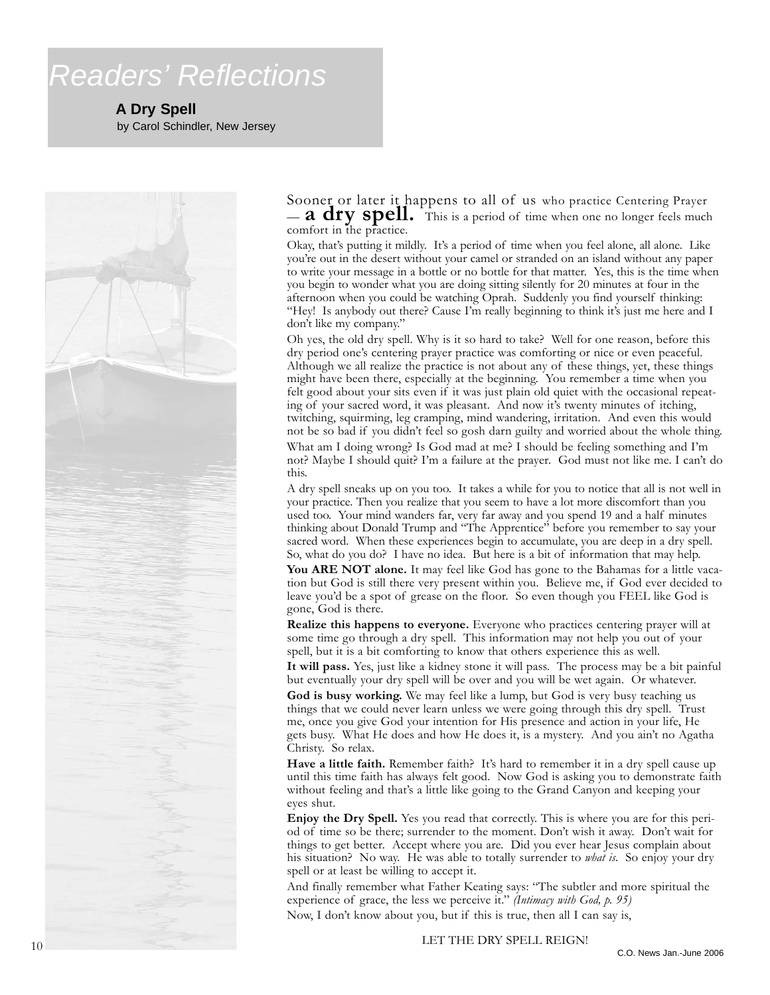# *Readers' Reflections*

**A Dry Spell**

by Carol Schindler, New Jersey



Sooner or later it happens to all of us who practice Centering Prayer — **a dry spell.** This is a period of time when one no longer feels much comfort in the practice.

Okay, that's putting it mildly. It's a period of time when you feel alone, all alone. Like you're out in the desert without your camel or stranded on an island without any paper to write your message in a bottle or no bottle for that matter. Yes, this is the time when you begin to wonder what you are doing sitting silently for 20 minutes at four in the afternoon when you could be watching Oprah. Suddenly you find yourself thinking: "Hey! Is anybody out there? Cause I'm really beginning to think it's just me here and I don't like my company."

Oh yes, the old dry spell. Why is it so hard to take? Well for one reason, before this dry period one's centering prayer practice was comforting or nice or even peaceful. Although we all realize the practice is not about any of these things, yet, these things might have been there, especially at the beginning. You remember a time when you felt good about your sits even if it was just plain old quiet with the occasional repeating of your sacred word, it was pleasant. And now it's twenty minutes of itching, twitching, squirming, leg cramping, mind wandering, irritation. And even this would not be so bad if you didn't feel so gosh darn guilty and worried about the whole thing. What am I doing wrong? Is God mad at me? I should be feeling something and I'm not? Maybe I should quit? I'm a failure at the prayer. God must not like me. I can't do this.

A dry spell sneaks up on you too. It takes a while for you to notice that all is not well in your practice. Then you realize that you seem to have a lot more discomfort than you used too. Your mind wanders far, very far away and you spend 19 and a half minutes thinking about Donald Trump and "The Apprentice" before you remember to say your sacred word. When these experiences begin to accumulate, you are deep in a dry spell. So, what do you do? I have no idea. But here is a bit of information that may help.

**You ARE NOT alone.** It may feel like God has gone to the Bahamas for a little vacation but God is still there very present within you. Believe me, if God ever decided to leave you'd be a spot of grease on the floor. So even though you FEEL like God is gone, God is there.

**Realize this happens to everyone.** Everyone who practices centering prayer will at some time go through a dry spell. This information may not help you out of your spell, but it is a bit comforting to know that others experience this as well.

**It will pass.** Yes, just like a kidney stone it will pass. The process may be a bit painful but eventually your dry spell will be over and you will be wet again. Or whatever.

**God is busy working.** We may feel like a lump, but God is very busy teaching us things that we could never learn unless we were going through this dry spell. Trust me, once you give God your intention for His presence and action in your life, He gets busy. What He does and how He does it, is a mystery. And you ain't no Agatha Christy. So relax.

Have a little faith. Remember faith? It's hard to remember it in a dry spell cause up until this time faith has always felt good. Now God is asking you to demonstrate faith without feeling and that's a little like going to the Grand Canyon and keeping your eyes shut.

**Enjoy the Dry Spell.** Yes you read that correctly. This is where you are for this period of time so be there; surrender to the moment. Don't wish it away. Don't wait for things to get better. Accept where you are. Did you ever hear Jesus complain about his situation? No way. He was able to totally surrender to *what is*. So enjoy your dry spell or at least be willing to accept it.

And finally remember what Father Keating says: "The subtler and more spiritual the experience of grace, the less we perceive it." *(Intimacy with God, p. 95)*

Now, I don't know about you, but if this is true, then all I can say is,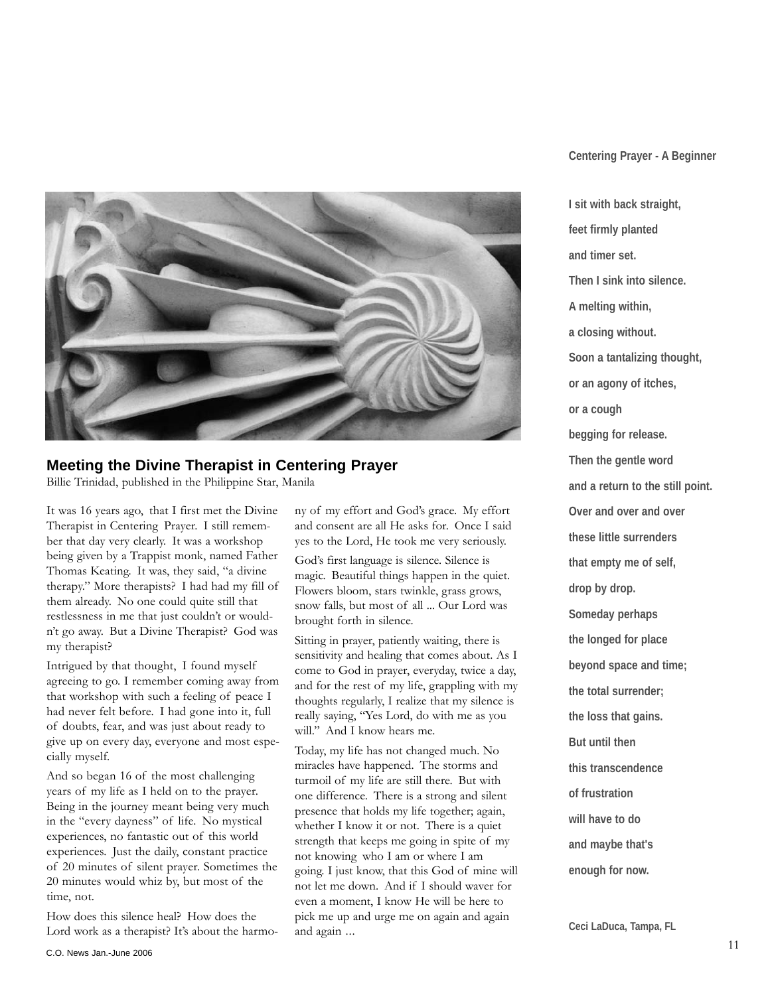

#### **Meeting the Divine Therapist in Centering Prayer**

Billie Trinidad, published in the Philippine Star, Manila

It was 16 years ago, that I first met the Divine Therapist in Centering Prayer. I still remember that day very clearly. It was a workshop being given by a Trappist monk, named Father Thomas Keating. It was, they said, "a divine therapy." More therapists? I had had my fill of them already. No one could quite still that restlessness in me that just couldn't or wouldn't go away. But a Divine Therapist? God was my therapist?

Intrigued by that thought, I found myself agreeing to go. I remember coming away from that workshop with such a feeling of peace I had never felt before. I had gone into it, full of doubts, fear, and was just about ready to give up on every day, everyone and most especially myself.

And so began 16 of the most challenging years of my life as I held on to the prayer. Being in the journey meant being very much in the "every dayness" of life. No mystical experiences, no fantastic out of this world experiences. Just the daily, constant practice of 20 minutes of silent prayer. Sometimes the 20 minutes would whiz by, but most of the time, not.

How does this silence heal? How does the Lord work as a therapist? It's about the harmony of my effort and God's grace. My effort and consent are all He asks for. Once I said yes to the Lord, He took me very seriously.

God's first language is silence. Silence is magic. Beautiful things happen in the quiet. Flowers bloom, stars twinkle, grass grows, snow falls, but most of all ... Our Lord was brought forth in silence.

Sitting in prayer, patiently waiting, there is sensitivity and healing that comes about. As I come to God in prayer, everyday, twice a day, and for the rest of my life, grappling with my thoughts regularly, I realize that my silence is really saying, "Yes Lord, do with me as you will." And I know hears me.

Today, my life has not changed much. No miracles have happened. The storms and turmoil of my life are still there. But with one difference. There is a strong and silent presence that holds my life together; again, whether I know it or not. There is a quiet strength that keeps me going in spite of my not knowing who I am or where I am going. I just know, that this God of mine will not let me down. And if I should waver for even a moment, I know He will be here to pick me up and urge me on again and again and again ...

#### **Centering Prayer - A Beginner**

**I sit with back straight, feet firmly planted and timer set. Then I sink into silence. A melting within, a closing without. Soon a tantalizing thought, or an agony of itches, or a cough begging for release. Then the gentle word and a return to the still point. Over and over and over these little surrenders that empty me of self, drop by drop. Someday perhaps the longed for place beyond space and time; the total surrender; the loss that gains. But until then this transcendence of frustration will have to do and maybe that's enough for now.**

**Ceci LaDuca, Tampa, FL**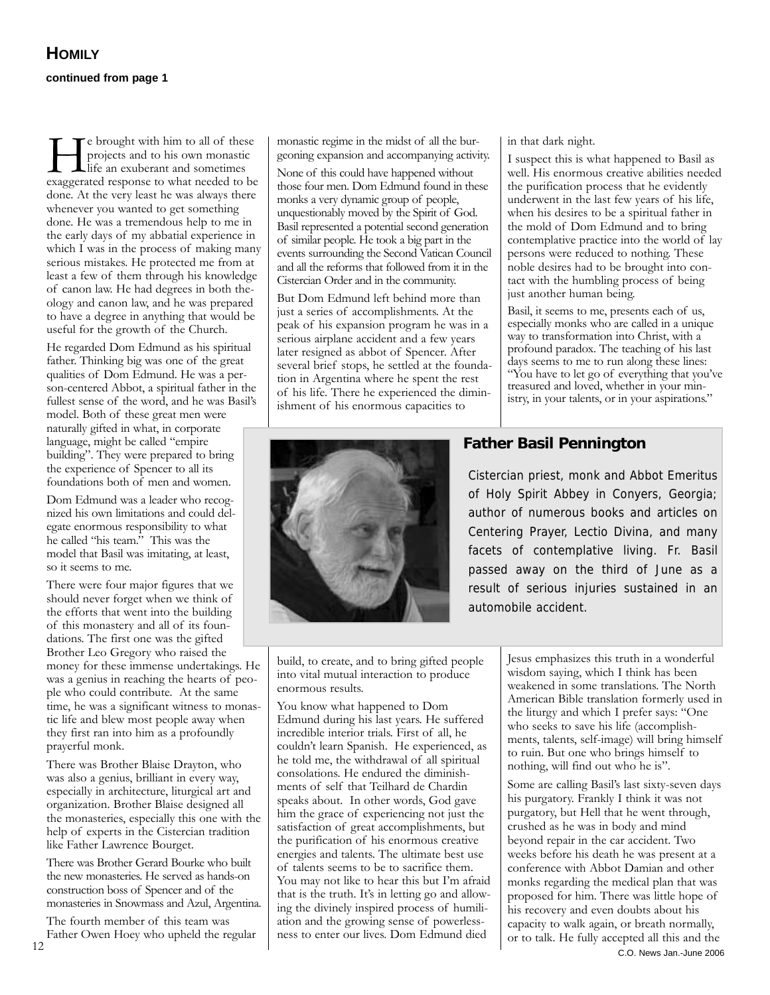e brought with him to all of these projects and to his own monastic Life an exuberant and sometimes exaggerated response to what needed to be done. At the very least he was always there whenever you wanted to get something done. He was a tremendous help to me in the early days of my abbatial experience in which I was in the process of making many serious mistakes. He protected me from at least a few of them through his knowledge of canon law. He had degrees in both theology and canon law, and he was prepared to have a degree in anything that would be useful for the growth of the Church.

He regarded Dom Edmund as his spiritual father. Thinking big was one of the great qualities of Dom Edmund. He was a person-centered Abbot, a spiritual father in the fullest sense of the word, and he was Basil's model. Both of these great men were naturally gifted in what, in corporate language, might be called "empire building". They were prepared to bring the experience of Spencer to all its foundations both of men and women.

Dom Edmund was a leader who recognized his own limitations and could delegate enormous responsibility to what he called "his team." This was the model that Basil was imitating, at least, so it seems to me.

There were four major figures that we should never forget when we think of the efforts that went into the building of this monastery and all of its foundations. The first one was the gifted Brother Leo Gregory who raised the money for these immense undertakings. He was a genius in reaching the hearts of people who could contribute. At the same time, he was a significant witness to monastic life and blew most people away when they first ran into him as a profoundly prayerful monk.

There was Brother Blaise Drayton, who was also a genius, brilliant in every way, especially in architecture, liturgical art and organization. Brother Blaise designed all the monasteries, especially this one with the help of experts in the Cistercian tradition like Father Lawrence Bourget.

There was Brother Gerard Bourke who built the new monasteries. He served as hands-on construction boss of Spencer and of the monasteries in Snowmass and Azul, Argentina.

The fourth member of this team was Father Owen Hoey who upheld the regular monastic regime in the midst of all the burgeoning expansion and accompanying activity. None of this could have happened without those four men. Dom Edmund found in these monks a very dynamic group of people, unquestionably moved by the Spirit of God. Basil represented a potential second generation of similar people. He took a big part in the events surrounding the Second Vatican Council and all the reforms that followed from it in the Cistercian Order and in the community.

But Dom Edmund left behind more than just a series of accomplishments. At the peak of his expansion program he was in a serious airplane accident and a few years later resigned as abbot of Spencer. After several brief stops, he settled at the foundation in Argentina where he spent the rest of his life. There he experienced the diminishment of his enormous capacities to



in that dark night.

I suspect this is what happened to Basil as well. His enormous creative abilities needed the purification process that he evidently underwent in the last few years of his life, when his desires to be a spiritual father in the mold of Dom Edmund and to bring contemplative practice into the world of lay persons were reduced to nothing. These noble desires had to be brought into contact with the humbling process of being just another human being.

Basil, it seems to me, presents each of us, especially monks who are called in a unique way to transformation into Christ, with a profound paradox. The teaching of his last days seems to me to run along these lines: "You have to let go of everything that you've treasured and loved, whether in your ministry, in your talents, or in your aspirations."

#### **Father Basil Pennington**

Cistercian priest, monk and Abbot Emeritus of Holy Spirit Abbey in Conyers, Georgia; author of numerous books and articles on Centering Prayer, Lectio Divina, and many facets of contemplative living. Fr. Basil passed away on the third of June as a result of serious injuries sustained in an automobile accident.

build, to create, and to bring gifted people into vital mutual interaction to produce enormous results.

You know what happened to Dom Edmund during his last years. He suffered incredible interior trials. First of all, he couldn't learn Spanish. He experienced, as he told me, the withdrawal of all spiritual consolations. He endured the diminishments of self that Teilhard de Chardin speaks about. In other words, God gave him the grace of experiencing not just the satisfaction of great accomplishments, but the purification of his enormous creative energies and talents. The ultimate best use of talents seems to be to sacrifice them. You may not like to hear this but I'm afraid that is the truth. It's in letting go and allowing the divinely inspired process of humiliation and the growing sense of powerlessness to enter our lives. Dom Edmund died

Jesus emphasizes this truth in a wonderful wisdom saying, which I think has been weakened in some translations. The North American Bible translation formerly used in the liturgy and which I prefer says: "One who seeks to save his life (accomplishments, talents, self-image) will bring himself to ruin. But one who brings himself to nothing, will find out who he is".

Some are calling Basil's last sixty-seven days his purgatory. Frankly I think it was not purgatory, but Hell that he went through, crushed as he was in body and mind beyond repair in the car accident. Two weeks before his death he was present at a conference with Abbot Damian and other monks regarding the medical plan that was proposed for him. There was little hope of his recovery and even doubts about his capacity to walk again, or breath normally, Father Owen Hoey who upheld the regular ess to enter our lives. Dom Edmund died or to talk. He fully accepted all this and the C.O. News Jan.-June 2006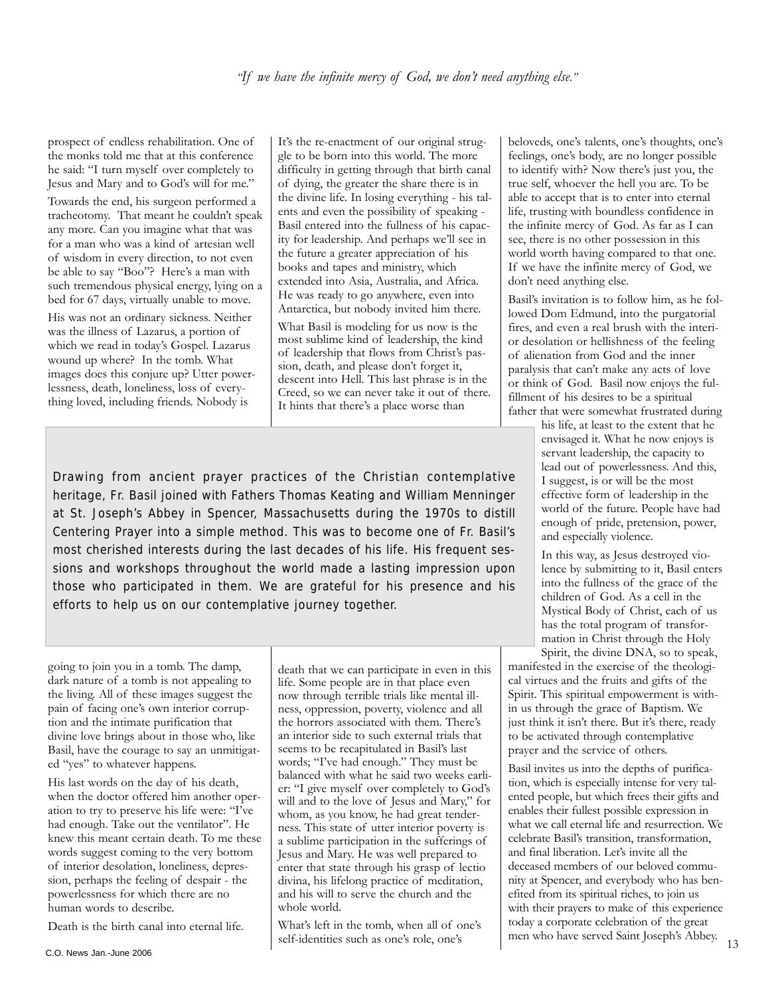prospect of endless rehabilitation. One of the monks told me that at this conference he said: "I turn myself over completely to Jesus and Mary and to God's will for me."

Towards the end, his surgeon performed a tracheotomy. That meant he couldn't speak any more. Can you imagine what that was for a man who was a kind of artesian well of wisdom in every direction, to not even be able to say "Boo"? Here's a man with such tremendous physical energy, lying on a bed for 67 days, virtually unable to move.

His was not an ordinary sickness. Neither was the illness of Lazarus, a portion of which we read in today's Gospel. Lazarus wound up where? In the tomb. What images does this conjure up? Utter powerlessness, death, loneliness, loss of everything loved, including friends. Nobody is

It's the re-enactment of our original struggle to be born into this world. The more difficulty in getting through that birth canal of dying, the greater the share there is in the divine life. In losing everything - his talents and even the possibility of speaking - Basil entered into the fullness of his capacity for leadership. And perhaps we'll see in the future a greater appreciation of his books and tapes and ministry, which extended into Asia, Australia, and Africa. He was ready to go anywhere, even into Antarctica, but nobody invited him there.

What Basil is modeling for us now is the most sublime kind of leadership, the kind of leadership that flows from Christ's passion, death, and please don't forget it, descent into Hell. This last phrase is in the Creed, so we can never take it out of there. It hints that there's a place worse than

Drawing from ancient prayer practices of the Christian contemplative heritage, Fr. Basil joined with Fathers Thomas Keating and William Menninger at St. Joseph's Abbey in Spencer, Massachusetts during the 1970s to distill Centering Prayer into a simple method. This was to become one of Fr. Basil's most cherished interests during the last decades of his life. His frequent sessions and workshops throughout the world made a lasting impression upon those who participated in them. We are grateful for his presence and his efforts to help us on our contemplative journey together.

going to join you in a tomb. The damp, dark nature of a tomb is not appealing to the living. All of these images suggest the pain of facing one's own interior corruption and the intimate purification that divine love brings about in those who, like Basil, have the courage to say an unmitigated "yes" to whatever happens.

His last words on the day of his death, when the doctor offered him another operation to try to preserve his life were: "I've had enough. Take out the ventilator". He knew this meant certain death. To me these words suggest coming to the very bottom of interior desolation, loneliness, depression, perhaps the feeling of despair - the powerlessness for which there are no human words to describe.

Death is the birth canal into eternal life.

life. Some people are in that place even now through terrible trials like mental illness, oppression, poverty, violence and all the horrors associated with them. There's an interior side to such external trials that seems to be recapitulated in Basil's last words; "I've had enough." They must be balanced with what he said two weeks earlier: "I give myself over completely to God's will and to the love of Jesus and Mary," for whom, as you know, he had great tenderness. This state of utter interior poverty is a sublime participation in the sufferings of Jesus and Mary. He was well prepared to enter that state through his grasp of lectio divina, his lifelong practice of meditation, and his will to serve the church and the whole world.

death that we can participate in even in this

What's left in the tomb, when all of one's self-identities such as one's role, one's

beloveds, one's talents, one's thoughts, one's feelings, one's body, are no longer possible to identify with? Now there's just you, the true self, whoever the hell you are. To be able to accept that is to enter into eternal life, trusting with boundless confidence in the infinite mercy of God. As far as I can see, there is no other possession in this world worth having compared to that one. If we have the infinite mercy of God, we don't need anything else.

Basil's invitation is to follow him, as he followed Dom Edmund, into the purgatorial fires, and even a real brush with the interior desolation or hellishness of the feeling of alienation from God and the inner paralysis that can't make any acts of love or think of God. Basil now enjoys the fulfillment of his desires to be a spiritual father that were somewhat frustrated during

> his life, at least to the extent that he envisaged it. What he now enjoys is servant leadership, the capacity to lead out of powerlessness. And this, I suggest, is or will be the most effective form of leadership in the world of the future. People have had enough of pride, pretension, power, and especially violence.

In this way, as Jesus destroyed violence by submitting to it, Basil enters into the fullness of the grace of the children of God. As a cell in the Mystical Body of Christ, each of us has the total program of transformation in Christ through the Holy Spirit, the divine DNA, so to speak,

manifested in the exercise of the theological virtues and the fruits and gifts of the Spirit. This spiritual empowerment is within us through the grace of Baptism. We just think it isn't there. But it's there, ready to be activated through contemplative prayer and the service of others.

Basil invites us into the depths of purification, which is especially intense for very talented people, but which frees their gifts and enables their fullest possible expression in what we call eternal life and resurrection. We celebrate Basil's transition, transformation, and final liberation. Let's invite all the deceased members of our beloved community at Spencer, and everybody who has benefited from its spiritual riches, to join us with their prayers to make of this experience today a corporate celebration of the great men who have served Saint Joseph's Abbey.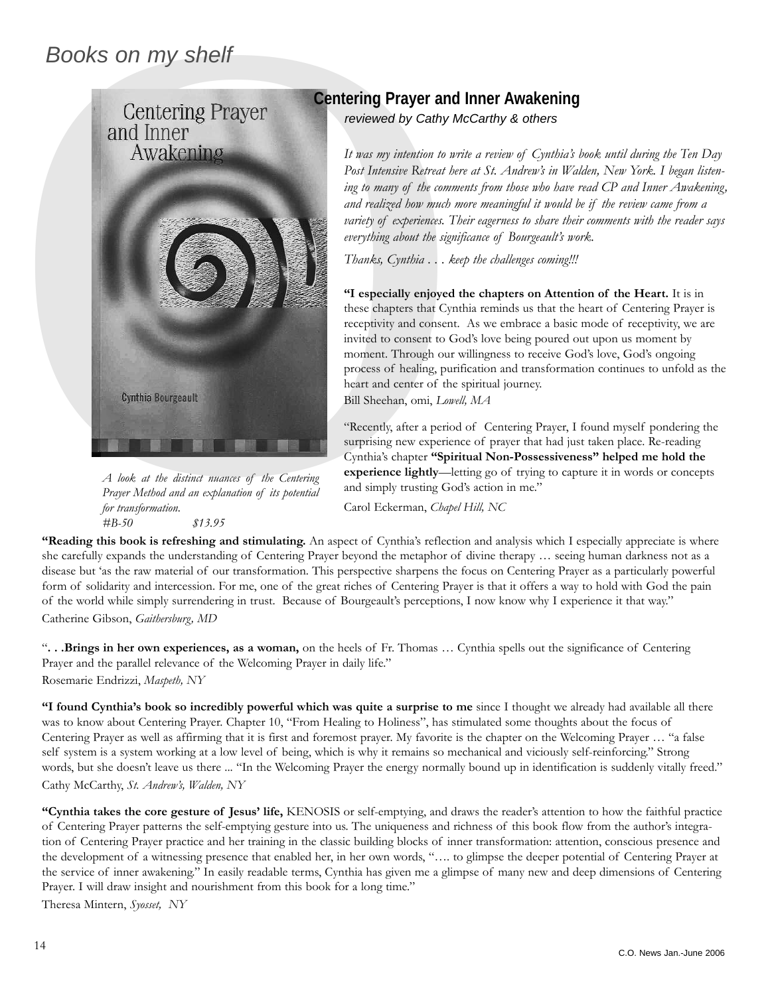#### *Books on my shelf*



*A look at the distinct nuances of the Centering Prayer Method and an explanation of its potential for transformation. #B-50 \$13.95*

#### **Centering Prayer and Inner Awakening**

*reviewed by Cathy McCarthy & others*

*It was my intention to write a review of Cynthia's book until during the Ten Day Post Intensive Retreat here at St. Andrew's in Walden, New York. I began listening to many of the comments from those who have read CP and Inner Awakening, and realized how much more meaningful it would be if the review came from a variety of experiences. Their eagerness to share their comments with the reader says everything about the significance of Bourgeault's work.* 

*Thanks, Cynthia . . . keep the challenges coming!!!* 

**"I especially enjoyed the chapters on Attention of the Heart.** It is in these chapters that Cynthia reminds us that the heart of Centering Prayer is receptivity and consent. As we embrace a basic mode of receptivity, we are invited to consent to God's love being poured out upon us moment by moment. Through our willingness to receive God's love, God's ongoing process of healing, purification and transformation continues to unfold as the heart and center of the spiritual journey. Bill Sheehan, omi, *Lowell, MA*

"Recently, after a period of Centering Prayer, I found myself pondering the surprising new experience of prayer that had just taken place. Re-reading Cynthia's chapter **"Spiritual Non-Possessiveness" helped me hold the experience lightly**—letting go of trying to capture it in words or concepts and simply trusting God's action in me."

Carol Eckerman, *Chapel Hill, NC*

**"Reading this book is refreshing and stimulating.** An aspect of Cynthia's reflection and analysis which I especially appreciate is where she carefully expands the understanding of Centering Prayer beyond the metaphor of divine therapy … seeing human darkness not as a disease but 'as the raw material of our transformation. This perspective sharpens the focus on Centering Prayer as a particularly powerful form of solidarity and intercession. For me, one of the great riches of Centering Prayer is that it offers a way to hold with God the pain of the world while simply surrendering in trust. Because of Bourgeault's perceptions, I now know why I experience it that way." Catherine Gibson, *Gaithersburg, MD*

"**. . .Brings in her own experiences, as a woman,** on the heels of Fr. Thomas … Cynthia spells out the significance of Centering Prayer and the parallel relevance of the Welcoming Prayer in daily life." Rosemarie Endrizzi, *Maspeth, NY*

**"I found Cynthia's book so incredibly powerful which was quite a surprise to me** since I thought we already had available all there was to know about Centering Prayer. Chapter 10, "From Healing to Holiness", has stimulated some thoughts about the focus of Centering Prayer as well as affirming that it is first and foremost prayer. My favorite is the chapter on the Welcoming Prayer … "a false self system is a system working at a low level of being, which is why it remains so mechanical and viciously self-reinforcing." Strong words, but she doesn't leave us there ... "In the Welcoming Prayer the energy normally bound up in identification is suddenly vitally freed." Cathy McCarthy, *St. Andrew's, Walden, NY*

**"Cynthia takes the core gesture of Jesus' life,** KENOSIS or self-emptying, and draws the reader's attention to how the faithful practice of Centering Prayer patterns the self-emptying gesture into us. The uniqueness and richness of this book flow from the author's integration of Centering Prayer practice and her training in the classic building blocks of inner transformation: attention, conscious presence and the development of a witnessing presence that enabled her, in her own words, "…. to glimpse the deeper potential of Centering Prayer at the service of inner awakening." In easily readable terms, Cynthia has given me a glimpse of many new and deep dimensions of Centering Prayer. I will draw insight and nourishment from this book for a long time."

Theresa Mintern, *Syosset, NY*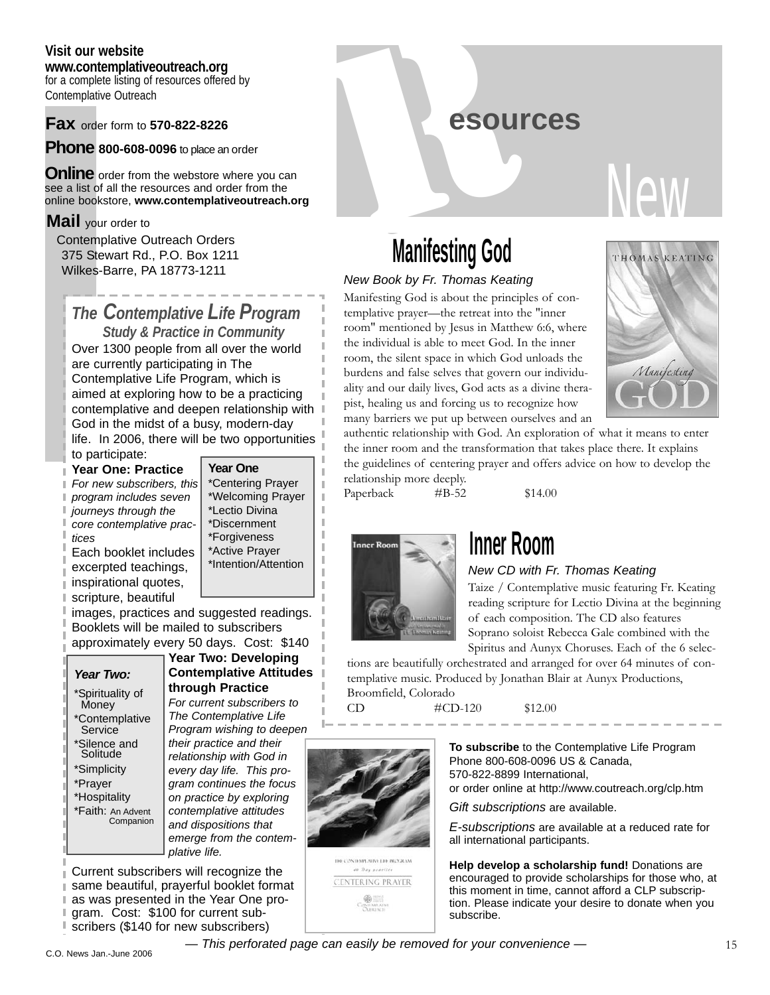#### **Visit our website**

**www.contemplativeoutreach.org** for a complete listing of resources offered by Contemplative Outreach

**Fax** order form to **570-822-8226**

**Phone 800-608-0096** to place an order

**Online** order from the webstore where you can see a list of all the resources and order from the online bookstore, **www.contemplativeoutreach.org**

#### **Mail** your order to

Contemplative Outreach Orders 375 Stewart Rd., P.O. Box 1211 Wilkes-Barre, PA 18773-1211

#### *The Contemplative Life Program Study & Practice in Community*

Over 1300 people from all over the world are currently participating in The Contemplative Life Program, which is aimed at exploring how to be a practicing contemplative and deepen relationship with God in the midst of a busy, modern-day life. In 2006, there will be two opportunities to participate:

#### **Year One: Practice** *For new subscribers, this program includes seven journeys through the core contemplative practices*

Each booklet includes excerpted teachings, inspirational quotes,

#### **Year One**

\*Centering Prayer \*Welcoming Prayer \*Lectio Divina \*Discernment \*Forgiveness \*Active Prayer \*Intention/Attention

scripture, beautiful images, practices and suggested readings. Booklets will be mailed to subscribers approximately every 50 days. Cost: \$140

#### *Year Two:*

\*Spirituality of **Money** \*Contemplative Service \*Silence and Solitude \*Simplicity \*Prayer \*Hospitality \*Faith: An Advent Companion

#### **Year Two: Developing Contemplative Attitudes through Practice** *For current subscribers to The Contemplative Life*

*Program wishing to deepen their practice and their relationship with God in every day life. This program continues the focus on practice by exploring contemplative attitudes and dispositions that emerge from the contemplative life.*

Current subscribers will recognize the same beautiful, prayerful booklet format as was presented in the Year One program. Cost: \$100 for current subscribers (\$140 for new subscribers)

R**esources**

# New

# **Manifesting God**

#### *New Book by Fr. Thomas Keating*

Manifesting God is about the principles of contemplative prayer—the retreat into the "inner room" mentioned by Jesus in Matthew 6:6, where the individual is able to meet God. In the inner room, the silent space in which God unloads the burdens and false selves that govern our individuality and our daily lives, God acts as a divine therapist, healing us and forcing us to recognize how many barriers we put up between ourselves and an



authentic relationship with God. An exploration of what it means to enter the inner room and the transformation that takes place there. It explains the guidelines of centering prayer and offers advice on how to develop the relationship more deeply.

Paperback #B-52 \$14.00



## **Inner Room**

#### *New CD with Fr. Thomas Keating*

Taize / Contemplative music featuring Fr. Keating reading scripture for Lectio Divina at the beginning of each composition. The CD also features Soprano soloist Rebecca Gale combined with the

Spiritus and Aunyx Choruses. Each of the 6 selections are beautifully orchestrated and arranged for over 64 minutes of contemplative music. Produced by Jonathan Blair at Aunyx Productions, Broomfield, Colorado

 $\text{CD}$   $\text{#CD-120}$  \$12.00



**10 CONDARTATIVE DO PROGRAM** CENTERING PRAYER **To subscribe** to the Contemplative Life Program Phone 800-608-0096 US & Canada, 570-822-8899 International,

or order online at http://www.coutreach.org/clp.htm

*Gift subscriptions* are available.

*E-subscriptions* are available at a reduced rate for all international participants.

**Help develop a scholarship fund!** Donations are encouraged to provide scholarships for those who, at this moment in time, cannot afford a CLP subscription. Please indicate your desire to donate when you subscribe.

*— This perforated page can easily be removed for your convenience —* 15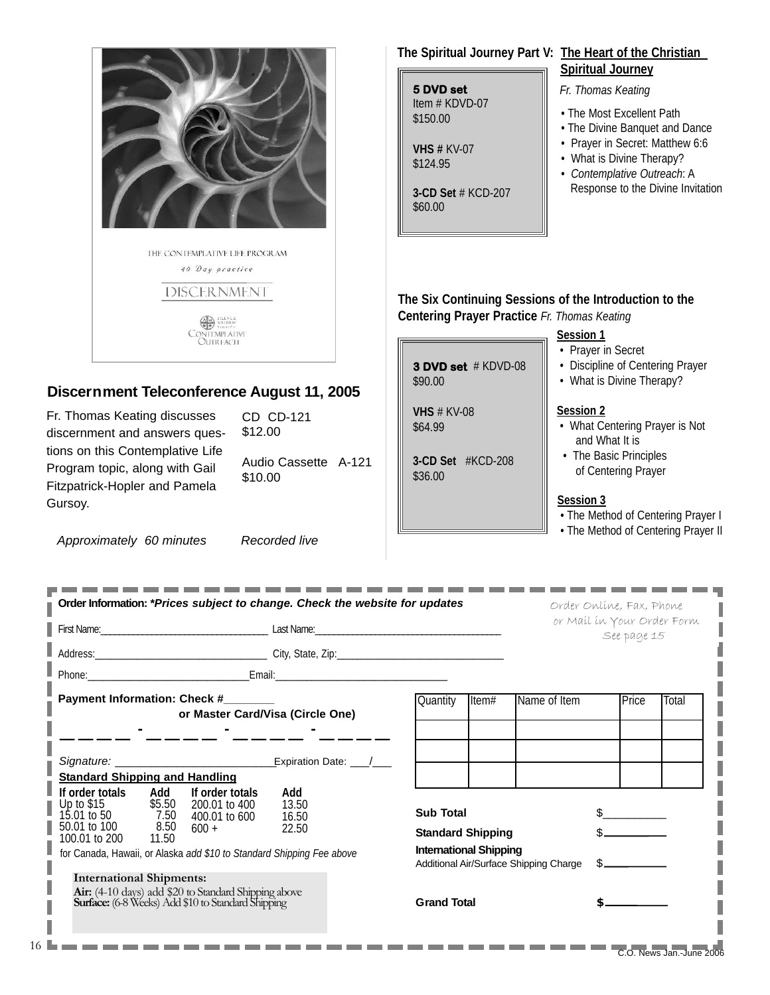

for Canada, Hawaii, or Alaska *add \$10 to Standard Shipping Fee above*

#### **International Shipments:**

**Air:** (4-10 days) add \$20 to Standard Shipping above **Surface:**(6-8 Weeks) Add \$10 to Standard Shipping

Additional Air/Surface Shipping Charge \$ **Grand Total** 

ı

I I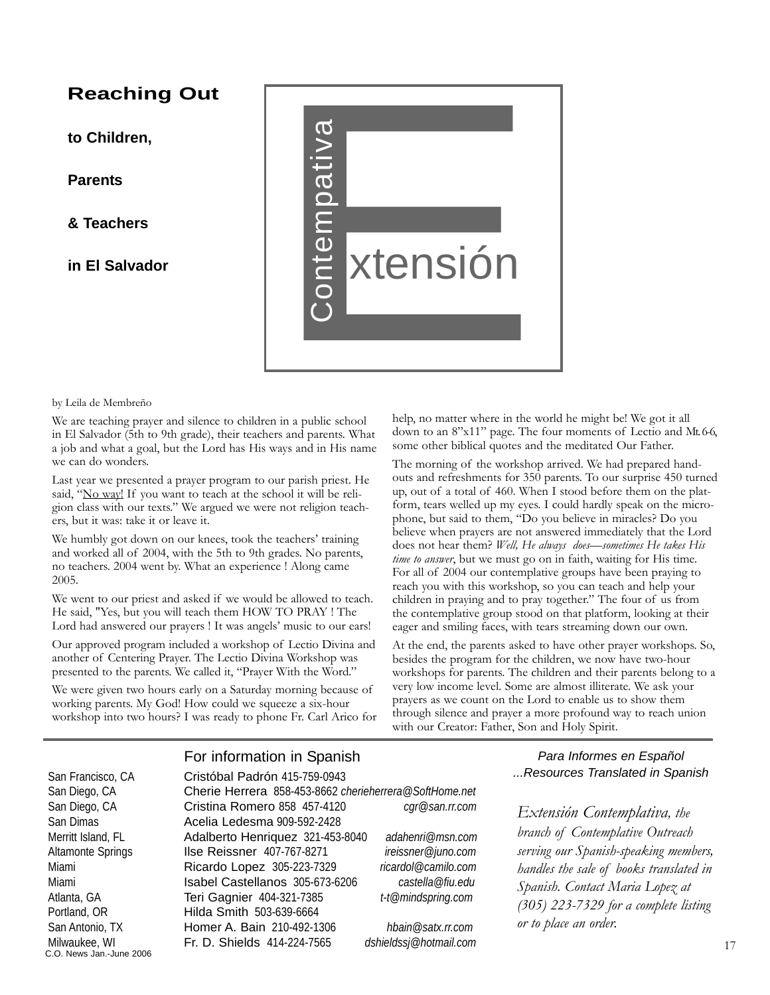#### **Reaching Out**

**to Children,**

**Parents** 

**& Teachers** 

**in El Salvador** 



by Leila de Membreño

We are teaching prayer and silence to children in a public school in El Salvador (5th to 9th grade), their teachers and parents. What a job and what a goal, but the Lord has His ways and in His name we can do wonders.

Last year we presented a prayer program to our parish priest. He said, "No way! If you want to teach at the school it will be religion class with our texts." We argued we were not religion teachers, but it was: take it or leave it.

We humbly got down on our knees, took the teachers' training and worked all of 2004, with the 5th to 9th grades. No parents, no teachers. 2004 went by. What an experience ! Along came 2005.

We went to our priest and asked if we would be allowed to teach. He said, "Yes, but you will teach them HOW TO PRAY ! The Lord had answered our prayers ! It was angels' music to our ears!

Our approved program included a workshop of Lectio Divina and another of Centering Prayer. The Lectio Divina Workshop was presented to the parents. We called it, "Prayer With the Word."

We were given two hours early on a Saturday morning because of working parents. My God! How could we squeeze a six-hour workshop into two hours? I was ready to phone Fr. Carl Arico for help, no matter where in the world he might be! We got it all down to an 8"x11" page. The four moments of Lectio and Mt.6-6, some other biblical quotes and the meditated Our Father.

The morning of the workshop arrived. We had prepared handouts and refreshments for 350 parents. To our surprise 450 turned up, out of a total of 460. When I stood before them on the platform, tears welled up my eyes. I could hardly speak on the microphone, but said to them, "Do you believe in miracles? Do you believe when prayers are not answered immediately that the Lord does not hear them? *Well, He always does—sometimes He takes His time to answer*, but we must go on in faith, waiting for His time. For all of 2004 our contemplative groups have been praying to reach you with this workshop, so you can teach and help your children in praying and to pray together." The four of us from the contemplative group stood on that platform, looking at their eager and smiling faces, with tears streaming down our own.

At the end, the parents asked to have other prayer workshops. So, besides the program for the children, we now have two-hour workshops for parents. The children and their parents belong to a very low income level. Some are almost illiterate. We ask your prayers as we count on the Lord to enable us to show them through silence and prayer a more profound way to reach union with our Creator: Father, Son and Holy Spirit.

#### For information in Spanish

C.O. News Jan.-June 2006

San Francisco, CA **Cristóbal Padrón** 415-759-0943 San Diego, CA Cherie Herrera 858-453-8662 *cherieherrera@SoftHome.net* San Diego, CA Cristina Romero 858 457-4120 *cgr@san.rr.com* San Dimas **Acelia Ledesma** 909-592-2428 Merritt Island, FL Adalberto Henriquez 321-453-8040 *adahenri@msn.com* Altamonte Springs Ilse Reissner 407-767-8271 *ireissner@juno.com* Miami Ricardo Lopez 305-223-7329 *ricardol@camilo.com* Miami Isabel Castellanos 305-673-6206 *castella@fiu.edu* Atlanta, GA Teri Gagnier 404-321-7385 *t-t@mindspring.com* Portland, OR **Hilda Smith 503-639-6664** San Antonio, TX **Homer A. Bain** 210-492-1306 *hbain@satx.rr.com* Milwaukee, WI Fr. D. Shields 414-224-7565 *dshieldssj@hotmail.com*

*Para Informes en Español ...Resources Translated in Spanish*

*Extensión Contemplativa, the branch of Contemplative Outreach serving our Spanish-speaking members, handles the sale of books translated in Spanish. Contact Maria Lopez at (305) 223-7329 for a complete listing or to place an order.*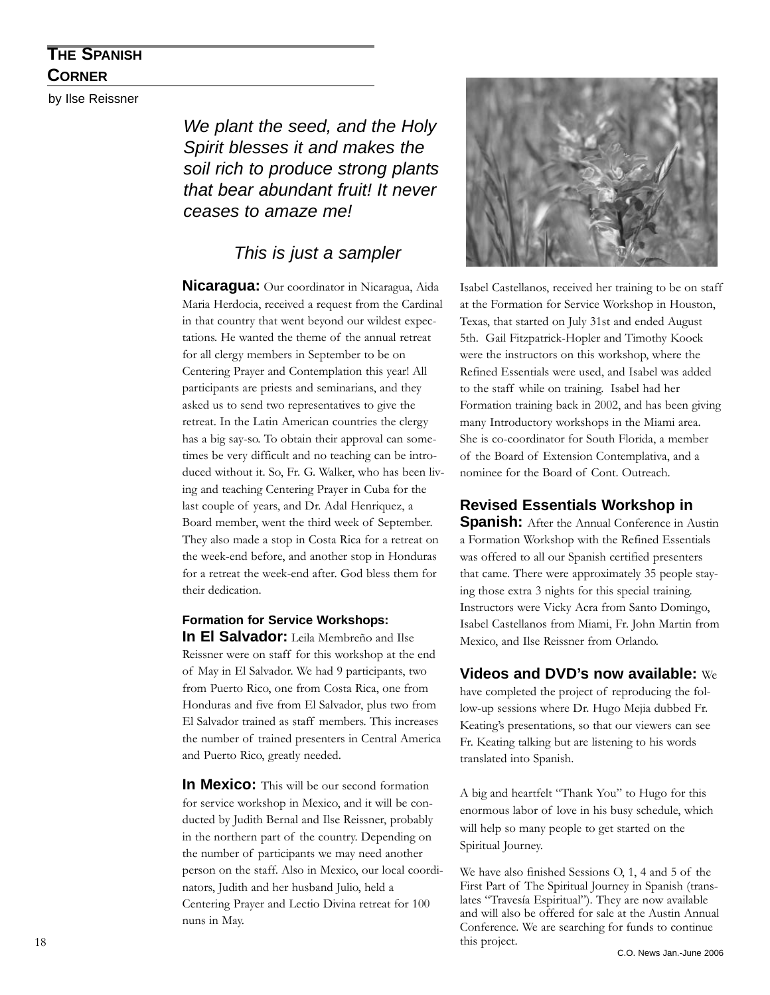#### **THE SPANISH CORNER**

by Ilse Reissner

*We plant the seed, and the Holy Spirit blesses it and makes the soil rich to produce strong plants that bear abundant fruit! It never ceases to amaze me!*

#### *This is just a sampler*

**Nicaragua:** Our coordinator in Nicaragua, Aida Maria Herdocia, received a request from the Cardinal in that country that went beyond our wildest expectations. He wanted the theme of the annual retreat for all clergy members in September to be on Centering Prayer and Contemplation this year! All participants are priests and seminarians, and they asked us to send two representatives to give the retreat. In the Latin American countries the clergy has a big say-so. To obtain their approval can sometimes be very difficult and no teaching can be introduced without it. So, Fr. G. Walker, who has been living and teaching Centering Prayer in Cuba for the last couple of years, and Dr. Adal Henriquez, a Board member, went the third week of September. They also made a stop in Costa Rica for a retreat on the week-end before, and another stop in Honduras for a retreat the week-end after. God bless them for their dedication.

#### **Formation for Service Workshops: In El Salvador:** Leila Membreño and Ilse

Reissner were on staff for this workshop at the end of May in El Salvador. We had 9 participants, two from Puerto Rico, one from Costa Rica, one from Honduras and five from El Salvador, plus two from El Salvador trained as staff members. This increases the number of trained presenters in Central America and Puerto Rico, greatly needed.

**In Mexico:** This will be our second formation for service workshop in Mexico, and it will be conducted by Judith Bernal and Ilse Reissner, probably in the northern part of the country. Depending on the number of participants we may need another person on the staff. Also in Mexico, our local coordinators, Judith and her husband Julio, held a Centering Prayer and Lectio Divina retreat for 100 nuns in May.



Isabel Castellanos, received her training to be on staff at the Formation for Service Workshop in Houston, Texas, that started on July 31st and ended August 5th. Gail Fitzpatrick-Hopler and Timothy Koock were the instructors on this workshop, where the Refined Essentials were used, and Isabel was added to the staff while on training. Isabel had her Formation training back in 2002, and has been giving many Introductory workshops in the Miami area. She is co-coordinator for South Florida, a member of the Board of Extension Contemplativa, and a nominee for the Board of Cont. Outreach.

#### **Revised Essentials Workshop in**

**Spanish:** After the Annual Conference in Austin a Formation Workshop with the Refined Essentials was offered to all our Spanish certified presenters that came. There were approximately 35 people staying those extra 3 nights for this special training. Instructors were Vicky Acra from Santo Domingo, Isabel Castellanos from Miami, Fr. John Martin from Mexico, and Ilse Reissner from Orlando.

#### **Videos and DVD's now available:** We

have completed the project of reproducing the follow-up sessions where Dr. Hugo Mejia dubbed Fr. Keating's presentations, so that our viewers can see Fr. Keating talking but are listening to his words translated into Spanish.

A big and heartfelt "Thank You" to Hugo for this enormous labor of love in his busy schedule, which will help so many people to get started on the Spiritual Journey.

We have also finished Sessions O, 1, 4 and 5 of the First Part of The Spiritual Journey in Spanish (translates "Travesía Espiritual"). They are now available and will also be offered for sale at the Austin Annual Conference. We are searching for funds to continue this project.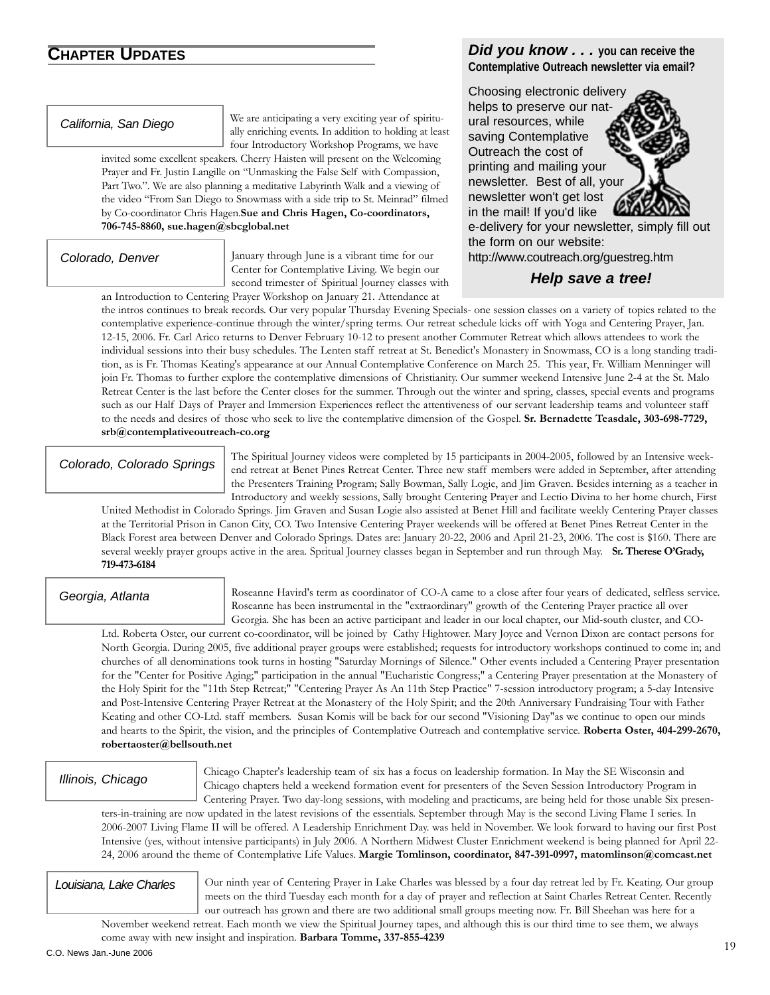**CHAPTER UPDATES Did you know . . .** you can receive the **Contemplative Outreach newsletter via email?**

#### *California, San Diego*

We are anticipating a very exciting year of spiritually enriching events. In addition to holding at least four Introductory Workshop Programs, we have

invited some excellent speakers. Cherry Haisten will present on the Welcoming Prayer and Fr. Justin Langille on "Unmasking the False Self with Compassion, Part Two.". We are also planning a meditative Labyrinth Walk and a viewing of the video "From San Diego to Snowmass with a side trip to St. Meinrad" filmed by Co-coordinator Chris Hagen.**Sue and Chris Hagen, Co-coordinators, 706-745-8860, sue.hagen@sbcglobal.net**

#### *Colorado, Denver*

January through June is a vibrant time for our Center for Contemplative Living. We begin our second trimester of Spiritual Journey classes with an Introduction to Centering Prayer Workshop on January 21. Attendance at

Choosing electronic delivery helps to preserve our natural resources, while saving Contemplative Outreach the cost of printing and mailing your newsletter. Best of all, your newsletter won't get lost in the mail! If you'd like



e-delivery for your newsletter, simply fill out the form on our website: http://www.coutreach.org/guestreg.htm

#### *Help save a tree!*

the intros continues to break records. Our very popular Thursday Evening Specials- one session classes on a variety of topics related to the contemplative experience-continue through the winter/spring terms. Our retreat schedule kicks off with Yoga and Centering Prayer, Jan. 12-15, 2006. Fr. Carl Arico returns to Denver February 10-12 to present another Commuter Retreat which allows attendees to work the individual sessions into their busy schedules. The Lenten staff retreat at St. Benedict's Monastery in Snowmass, CO is a long standing tradition, as is Fr. Thomas Keating's appearance at our Annual Contemplative Conference on March 25. This year, Fr. William Menninger will join Fr. Thomas to further explore the contemplative dimensions of Christianity. Our summer weekend Intensive June 2-4 at the St. Malo Retreat Center is the last before the Center closes for the summer. Through out the winter and spring, classes, special events and programs such as our Half Days of Prayer and Immersion Experiences reflect the attentiveness of our servant leadership teams and volunteer staff to the needs and desires of those who seek to live the contemplative dimension of the Gospel. **Sr. Bernadette Teasdale, 303-698-7729, srb@contemplativeoutreach-co.org**

*Colorado, Colorado Springs*

The Spiritual Journey videos were completed by 15 participants in 2004-2005, followed by an Intensive weekend retreat at Benet Pines Retreat Center. Three new staff members were added in September, after attending the Presenters Training Program; Sally Bowman, Sally Logie, and Jim Graven. Besides interning as a teacher in Introductory and weekly sessions, Sally brought Centering Prayer and Lectio Divina to her home church, First

United Methodist in Colorado Springs. Jim Graven and Susan Logie also assisted at Benet Hill and facilitate weekly Centering Prayer classes at the Territorial Prison in Canon City, CO. Two Intensive Centering Prayer weekends will be offered at Benet Pines Retreat Center in the Black Forest area between Denver and Colorado Springs. Dates are: January 20-22, 2006 and April 21-23, 2006. The cost is \$160. There are several weekly prayer groups active in the area. Spritual Journey classes began in September and run through May. **Sr. Therese O'Grady, 719-473-6184**

#### *Georgia, Atlanta*

Roseanne Havird's term as coordinator of CO-A came to a close after four years of dedicated, selfless service. Roseanne has been instrumental in the "extraordinary" growth of the Centering Prayer practice all over Georgia. She has been an active participant and leader in our local chapter, our Mid-south cluster, and CO-

Ltd. Roberta Oster, our current co-coordinator, will be joined by Cathy Hightower. Mary Joyce and Vernon Dixon are contact persons for North Georgia. During 2005, five additional prayer groups were established; requests for introductory workshops continued to come in; and churches of all denominations took turns in hosting "Saturday Mornings of Silence." Other events included a Centering Prayer presentation for the "Center for Positive Aging;" participation in the annual "Eucharistic Congress;" a Centering Prayer presentation at the Monastery of the Holy Spirit for the "11th Step Retreat;" "Centering Prayer As An 11th Step Practice" 7-session introductory program; a 5-day Intensive and Post-Intensive Centering Prayer Retreat at the Monastery of the Holy Spirit; and the 20th Anniversary Fundraising Tour with Father Keating and other CO-Ltd. staff members. Susan Komis will be back for our second "Visioning Day"as we continue to open our minds and hearts to the Spirit, the vision, and the principles of Contemplative Outreach and contemplative service. **Roberta Oster, 404-299-2670, robertaoster@bellsouth.net**

#### *Illinois, Chicago*

Chicago Chapter's leadership team of six has a focus on leadership formation. In May the SE Wisconsin and Chicago chapters held a weekend formation event for presenters of the Seven Session Introductory Program in Centering Prayer. Two day-long sessions, with modeling and practicums, are being held for those unable Six presen-

ters-in-training are now updated in the latest revisions of the essentials. September through May is the second Living Flame I series. In 2006-2007 Living Flame II will be offered. A Leadership Enrichment Day. was held in November. We look forward to having our first Post Intensive (yes, without intensive participants) in July 2006. A Northern Midwest Cluster Enrichment weekend is being planned for April 22- 24, 2006 around the theme of Contemplative Life Values. **Margie Tomlinson, coordinator, 847-391-0997, matomlinson@comcast.net**

#### *Louisiana, Lake Charles*

Our ninth year of Centering Prayer in Lake Charles was blessed by a four day retreat led by Fr. Keating. Our group meets on the third Tuesday each month for a day of prayer and reflection at Saint Charles Retreat Center. Recently our outreach has grown and there are two additional small groups meeting now. Fr. Bill Sheehan was here for a

November weekend retreat. Each month we view the Spiritual Journey tapes, and although this is our third time to see them, we always come away with new insight and inspiration. **Barbara Tomme, 337-855-4239**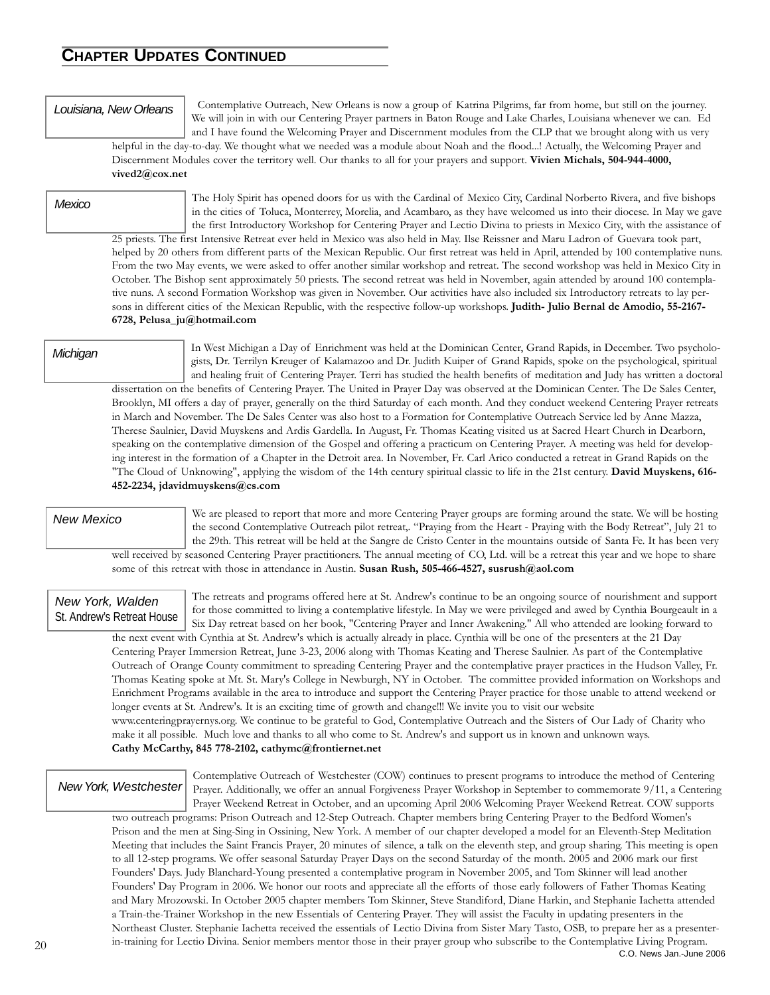#### **CHAPTER UPDATES CONTINUED**

#### *Louisiana, New Orleans*

Contemplative Outreach, New Orleans is now a group of Katrina Pilgrims, far from home, but still on the journey. We will join in with our Centering Prayer partners in Baton Rouge and Lake Charles, Louisiana whenever we can. Ed and I have found the Welcoming Prayer and Discernment modules from the CLP that we brought along with us very helpful in the day-to-day. We thought what we needed was a module about Noah and the flood...! Actually, the Welcoming Prayer and

Discernment Modules cover the territory well. Our thanks to all for your prayers and support. **Vivien Michals, 504-944-4000, vived2@cox.net**

#### *Mexico*

The Holy Spirit has opened doors for us with the Cardinal of Mexico City, Cardinal Norberto Rivera, and five bishops in the cities of Toluca, Monterrey, Morelia, and Acambaro, as they have welcomed us into their diocese. In May we gave the first Introductory Workshop for Centering Prayer and Lectio Divina to priests in Mexico City, with the assistance of

25 priests. The first Intensive Retreat ever held in Mexico was also held in May. Ilse Reissner and Maru Ladron of Guevara took part, helped by 20 others from different parts of the Mexican Republic. Our first retreat was held in April, attended by 100 contemplative nuns. From the two May events, we were asked to offer another similar workshop and retreat. The second workshop was held in Mexico City in October. The Bishop sent approximately 50 priests. The second retreat was held in November, again attended by around 100 contemplative nuns. A second Formation Workshop was given in November. Our activities have also included six Introductory retreats to lay persons in different cities of the Mexican Republic, with the respective follow-up workshops. **Judith- Julio Bernal de Amodio, 55-2167- 6728, Pelusa\_ju@hotmail.com**

#### *Michigan*

In West Michigan a Day of Enrichment was held at the Dominican Center, Grand Rapids, in December. Two psychologists, Dr. Terrilyn Kreuger of Kalamazoo and Dr. Judith Kuiper of Grand Rapids, spoke on the psychological, spiritual and healing fruit of Centering Prayer. Terri has studied the health benefits of meditation and Judy has written a doctoral dissertation on the benefits of Centering Prayer. The United in Prayer Day was observed at the Dominican Center. The De Sales Center, Brooklyn, MI offers a day of prayer, generally on the third Saturday of each month. And they conduct weekend Centering Prayer retreats in March and November. The De Sales Center was also host to a Formation for Contemplative Outreach Service led by Anne Mazza, Therese Saulnier, David Muyskens and Ardis Gardella. In August, Fr. Thomas Keating visited us at Sacred Heart Church in Dearborn, speaking on the contemplative dimension of the Gospel and offering a practicum on Centering Prayer. A meeting was held for developing interest in the formation of a Chapter in the Detroit area. In November, Fr. Carl Arico conducted a retreat in Grand Rapids on the "The Cloud of Unknowing", applying the wisdom of the 14th century spiritual classic to life in the 21st century. **David Muyskens, 616- 452-2234, jdavidmuyskens@cs.com**

#### *New Mexico*

We are pleased to report that more and more Centering Prayer groups are forming around the state. We will be hosting the second Contemplative Outreach pilot retreat,. "Praying from the Heart - Praying with the Body Retreat", July 21 to the 29th. This retreat will be held at the Sangre de Cristo Center in the mountains outside of Santa Fe. It has been very well received by seasoned Centering Prayer practitioners. The annual meeting of CO, Ltd. will be a retreat this year and we hope to share some of this retreat with those in attendance in Austin. **Susan Rush, 505-466-4527, susrush@aol.com**

#### *New York, Walden* St. Andrew's Retreat House

The retreats and programs offered here at St. Andrew's continue to be an ongoing source of nourishment and support for those committed to living a contemplative lifestyle. In May we were privileged and awed by Cynthia Bourgeault in a Six Day retreat based on her book, "Centering Prayer and Inner Awakening." All who attended are looking forward to

the next event with Cynthia at St. Andrew's which is actually already in place. Cynthia will be one of the presenters at the 21 Day Centering Prayer Immersion Retreat, June 3-23, 2006 along with Thomas Keating and Therese Saulnier. As part of the Contemplative Outreach of Orange County commitment to spreading Centering Prayer and the contemplative prayer practices in the Hudson Valley, Fr. Thomas Keating spoke at Mt. St. Mary's College in Newburgh, NY in October. The committee provided information on Workshops and Enrichment Programs available in the area to introduce and support the Centering Prayer practice for those unable to attend weekend or longer events at St. Andrew's. It is an exciting time of growth and change!!! We invite you to visit our website www.centeringprayernys.org. We continue to be grateful to God, Contemplative Outreach and the Sisters of Our Lady of Charity who make it all possible. Much love and thanks to all who come to St. Andrew's and support us in known and unknown ways. **Cathy McCarthy, 845 778-2102, cathymc@frontiernet.net**

#### *New York, Westchester*

Contemplative Outreach of Westchester (COW) continues to present programs to introduce the method of Centering Prayer. Additionally, we offer an annual Forgiveness Prayer Workshop in September to commemorate 9/11, a Centering Prayer Weekend Retreat in October, and an upcoming April 2006 Welcoming Prayer Weekend Retreat. COW supports

two outreach programs: Prison Outreach and 12-Step Outreach. Chapter members bring Centering Prayer to the Bedford Women's Prison and the men at Sing-Sing in Ossining, New York. A member of our chapter developed a model for an Eleventh-Step Meditation Meeting that includes the Saint Francis Prayer, 20 minutes of silence, a talk on the eleventh step, and group sharing. This meeting is open to all 12-step programs. We offer seasonal Saturday Prayer Days on the second Saturday of the month. 2005 and 2006 mark our first Founders' Days. Judy Blanchard-Young presented a contemplative program in November 2005, and Tom Skinner will lead another Founders' Day Program in 2006. We honor our roots and appreciate all the efforts of those early followers of Father Thomas Keating and Mary Mrozowski. In October 2005 chapter members Tom Skinner, Steve Standiford, Diane Harkin, and Stephanie Iachetta attended a Train-the-Trainer Workshop in the new Essentials of Centering Prayer. They will assist the Faculty in updating presenters in the Northeast Cluster. Stephanie Iachetta received the essentials of Lectio Divina from Sister Mary Tasto, OSB, to prepare her as a presenterin-training for Lectio Divina. Senior members mentor those in their prayer group who subscribe to the Contemplative Living Program. 20 C.O. News Jan.-June 2006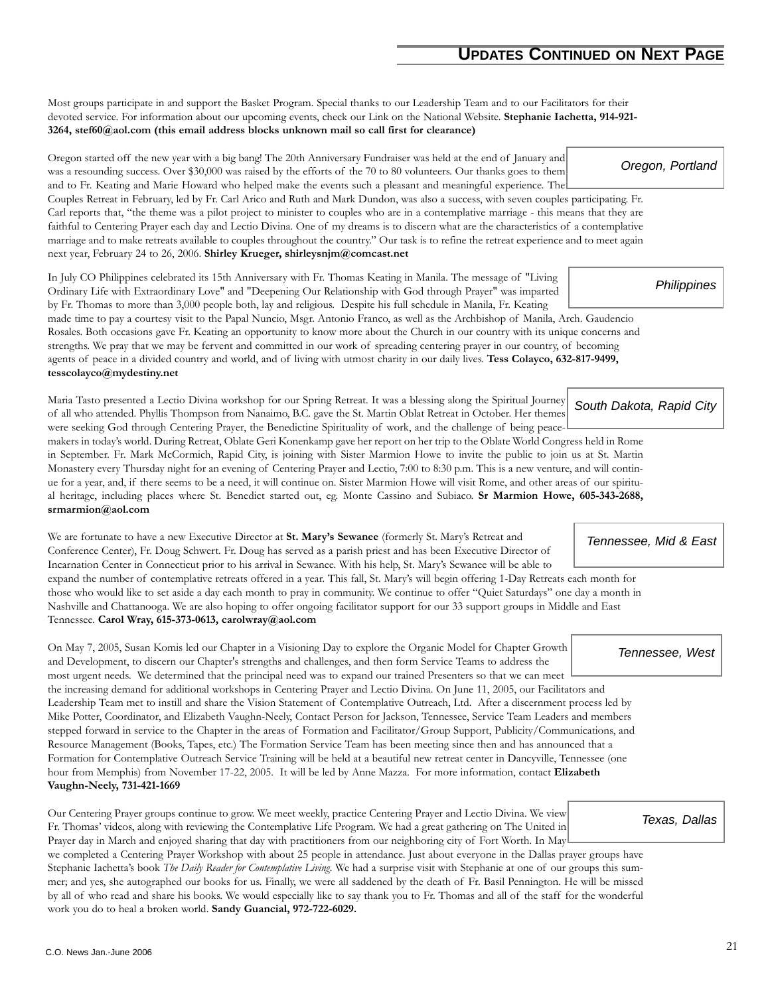Most groups participate in and support the Basket Program. Special thanks to our Leadership Team and to our Facilitators for their devoted service. For information about our upcoming events, check our Link on the National Website. **Stephanie Iachetta, 914-921- 3264, stef60@aol.com (this email address blocks unknown mail so call first for clearance)**

Oregon started off the new year with a big bang! The 20th Anniversary Fundraiser was held at the end of January and was a resounding success. Over \$30,000 was raised by the efforts of the 70 to 80 volunteers. Our thanks goes to them and to Fr. Keating and Marie Howard who helped make the events such a pleasant and meaningful experience. The Couples Retreat in February, led by Fr. Carl Arico and Ruth and Mark Dundon, was also a success, with seven couples participating. Fr. Carl reports that, "the theme was a pilot project to minister to couples who are in a contemplative marriage - this means that they are faithful to Centering Prayer each day and Lectio Divina. One of my dreams is to discern what are the characteristics of a contemplative marriage and to make retreats available to couples throughout the country." Our task is to refine the retreat experience and to meet again next year, February 24 to 26, 2006. **Shirley Krueger, shirleysnjm@comcast.net** *Oregon, Portland*

In July CO Philippines celebrated its 15th Anniversary with Fr. Thomas Keating in Manila. The message of "Living Ordinary Life with Extraordinary Love" and "Deepening Our Relationship with God through Prayer" was imparted by Fr. Thomas to more than 3,000 people both, lay and religious. Despite his full schedule in Manila, Fr. Keating made time to pay a courtesy visit to the Papal Nuncio, Msgr. Antonio Franco, as well as the Archbishop of Manila, Arch. Gaudencio

Rosales. Both occasions gave Fr. Keating an opportunity to know more about the Church in our country with its unique concerns and strengths. We pray that we may be fervent and committed in our work of spreading centering prayer in our country, of becoming agents of peace in a divided country and world, and of living with utmost charity in our daily lives. **Tess Colayco, 632-817-9499, tesscolayco@mydestiny.net**

Maria Tasto presented a Lectio Divina workshop for our Spring Retreat. It was a blessing along the Spiritual Journey of all who attended. Phyllis Thompson from Nanaimo, B.C. gave the St. Martin Oblat Retreat in October. Her themes were seeking God through Centering Prayer, the Benedictine Spirituality of work, and the challenge of being peace-*South Dakota, Rapid City*

makers in today's world. During Retreat, Oblate Geri Konenkamp gave her report on her trip to the Oblate World Congress held in Rome in September. Fr. Mark McCormich, Rapid City, is joining with Sister Marmion Howe to invite the public to join us at St. Martin Monastery every Thursday night for an evening of Centering Prayer and Lectio, 7:00 to 8:30 p.m. This is a new venture, and will continue for a year, and, if there seems to be a need, it will continue on. Sister Marmion Howe will visit Rome, and other areas of our spiritual heritage, including places where St. Benedict started out, eg. Monte Cassino and Subiaco. **Sr Marmion Howe, 605-343-2688, srmarmion@aol.com**

We are fortunate to have a new Executive Director at **St. Mary's Sewanee** (formerly St. Mary's Retreat and Conference Center), Fr. Doug Schwert. Fr. Doug has served as a parish priest and has been Executive Director of Incarnation Center in Connecticut prior to his arrival in Sewanee. With his help, St. Mary's Sewanee will be able to expand the number of contemplative retreats offered in a year. This fall, St. Mary's will begin offering 1-Day Retreats each month for those who would like to set aside a day each month to pray in community. We continue to offer "Quiet Saturdays" one day a month in Nashville and Chattanooga. We are also hoping to offer ongoing facilitator support for our 33 support groups in Middle and East *Tennessee, Mid & East*

Tennessee. **Carol Wray, 615-373-0613, carolwray@aol.com**

On May 7, 2005, Susan Komis led our Chapter in a Visioning Day to explore the Organic Model for Chapter Growth and Development, to discern our Chapter's strengths and challenges, and then form Service Teams to address the most urgent needs. We determined that the principal need was to expand our trained Presenters so that we can meet the increasing demand for additional workshops in Centering Prayer and Lectio Divina. On June 11, 2005, our Facilitators and Leadership Team met to instill and share the Vision Statement of Contemplative Outreach, Ltd. After a discernment process led by Mike Potter, Coordinator, and Elizabeth Vaughn-Neely, Contact Person for Jackson, Tennessee, Service Team Leaders and members stepped forward in service to the Chapter in the areas of Formation and Facilitator/Group Support, Publicity/Communications, and Resource Management (Books, Tapes, etc.) The Formation Service Team has been meeting since then and has announced that a Formation for Contemplative Outreach Service Training will be held at a beautiful new retreat center in Dancyville, Tennessee (one hour from Memphis) from November 17-22, 2005. It will be led by Anne Mazza. For more information, contact **Elizabeth Vaughn-Neely, 731-421-1669**

Our Centering Prayer groups continue to grow. We meet weekly, practice Centering Prayer and Lectio Divina. We view Fr. Thomas' videos, along with reviewing the Contemplative Life Program. We had a great gathering on The United in Prayer day in March and enjoyed sharing that day with practitioners from our neighboring city of Fort Worth. In May we completed a Centering Prayer Workshop with about 25 people in attendance. Just about everyone in the Dallas prayer groups have Stephanie Iachetta's book *The Daily Reader for Contemplative Living.* We had a surprise visit with Stephanie at one of our groups this summer; and yes, she autographed our books for us. Finally, we were all saddened by the death of Fr. Basil Pennington. He will be missed by all of who read and share his books. We would especially like to say thank you to Fr. Thomas and all of the staff for the wonderful work you do to heal a broken world. **Sandy Guancial, 972-722-6029.**

*Philippines*

*Tennessee, West*

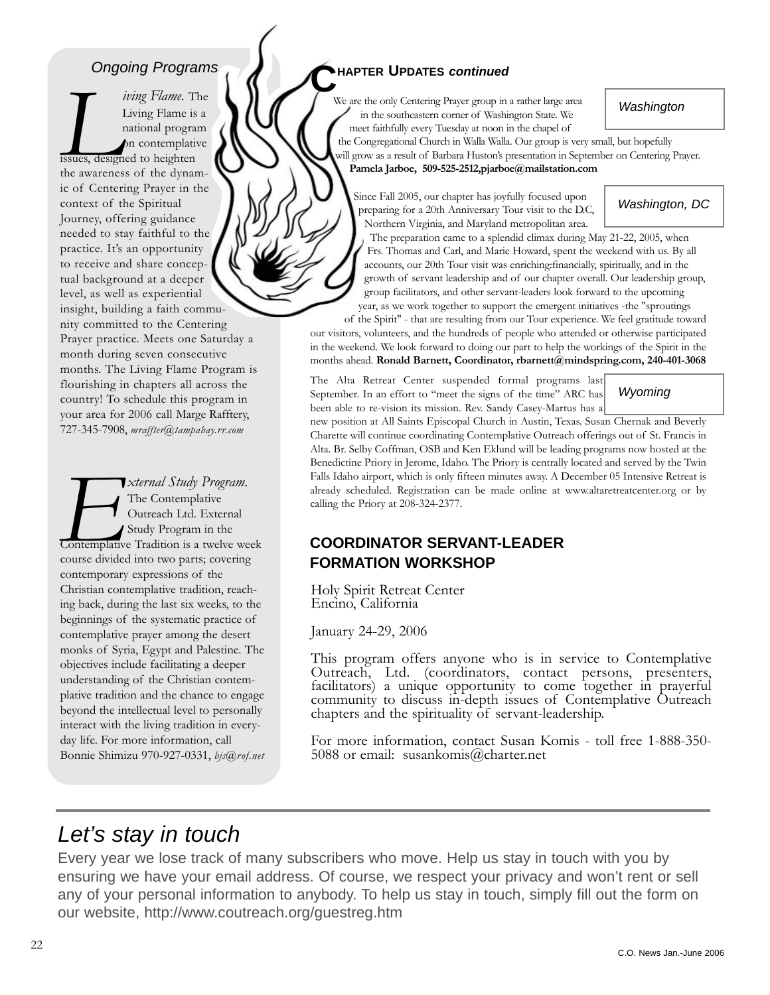#### *Ongoing Programs*

*Living Flame*. The<br>*Living Flame* is a<br>mational program<br>**Allen Contract Contract Contract Contract Contract Contract Contract Contract Contract Contract Contract Contract Contract Contract Contract Contract Contract Contr** Living Flame is a national program on contemplative issues, designed to heighten the awareness of the dynamic of Centering Prayer in the context of the Spiritual Journey, offering guidance needed to stay faithful to the practice. It's an opportunity to receive and share conceptual background at a deeper level, as well as experiential insight, building a faith community committed to the Centering Prayer practice. Meets one Saturday a month during seven consecutive months. The Living Flame Program is flourishing in chapters all across the country! To schedule this program in your area for 2006 call Marge Rafftery, 727-345-7908, *mraffter@tampabay.rr.com*

*External Study Program.*<br>
The Contemplative<br>
Outreach Ltd. External<br>
Study Program in the<br>
Contemplative Tradition is a twelve we<br>
course divided into two parts; covering The Contemplative Outreach Ltd. External Study Program in the Contemplative Tradition is a twelve week course divided into two parts; covering contemporary expressions of the Christian contemplative tradition, reaching back, during the last six weeks, to the beginnings of the systematic practice of contemplative prayer among the desert monks of Syria, Egypt and Palestine. The objectives include facilitating a deeper understanding of the Christian contemplative tradition and the chance to engage beyond the intellectual level to personally interact with the living tradition in everyday life. For more information, call Bonnie Shimizu 970-927-0331, *bjs@rof.net*

#### **CHAPTER UPDATES** *continued*

We are the only Centering Prayer group in a rather large area in the southeastern corner of Washington State. We meet faithfully every Tuesday at noon in the chapel of

*Washington*

*Washington, DC*

the Congregational Church in Walla Walla. Our group is very small, but hopefully will grow as a result of Barbara Huston's presentation in September on Centering Prayer. **Pamela Jarboe, 509-525-2512,pjarboe@mailstation.com**

Since Fall 2005, our chapter has joyfully focused upon preparing for a 20th Anniversary Tour visit to the D.C, Northern Virginia, and Maryland metropolitan area.

The preparation came to a splendid climax during May 21-22, 2005, when Frs. Thomas and Carl, and Marie Howard, spent the weekend with us. By all accounts, our 20th Tour visit was enriching:financially, spiritually, and in the growth of servant leadership and of our chapter overall. Our leadership group, group facilitators, and other servant-leaders look forward to the upcoming year, as we work together to support the emergent initiatives -the "sproutings

of the Spirit" - that are resulting from our Tour experience. We feel gratitude toward our visitors, volunteers, and the hundreds of people who attended or otherwise participated in the weekend. We look forward to doing our part to help the workings of the Spirit in the months ahead. **Ronald Barnett, Coordinator, rbarnett@mindspring.com, 240-401-3068**

The Alta Retreat Center suspended formal programs last September. In an effort to "meet the signs of the time" ARC has been able to re-vision its mission. Rev. Sandy Casey-Martus has a

*Wyoming*

new position at All Saints Episcopal Church in Austin, Texas. Susan Chernak and Beverly Charette will continue coordinating Contemplative Outreach offerings out of St. Francis in Alta. Br. Selby Coffman, OSB and Ken Eklund will be leading programs now hosted at the Benedictine Priory in Jerome, Idaho. The Priory is centrally located and served by the Twin Falls Idaho airport, which is only fifteen minutes away. A December 05 Intensive Retreat is already scheduled. Registration can be made online at www.altaretreatcenter.org or by calling the Priory at 208-324-2377.

#### **COORDINATOR SERVANT-LEADER FORMATION WORKSHOP**

Holy Spirit Retreat Center Encino, California

January 24-29, 2006

This program offers anyone who is in service to Contemplative Outreach, Ltd. (coordinators, contact persons, presenters, facilitators) a unique opportunity to come together in prayerful community to discuss in-depth issues of Contemplative Outreach chapters and the spirituality of servant-leadership.

For more information, contact Susan Komis - toll free 1-888-350- 5088 or email: susankomis@charter.net

### *Let's stay in touch*

Every year we lose track of many subscribers who move. Help us stay in touch with you by ensuring we have your email address. Of course, we respect your privacy and won't rent or sell any of your personal information to anybody. To help us stay in touch, simply fill out the form on our website, http://www.coutreach.org/guestreg.htm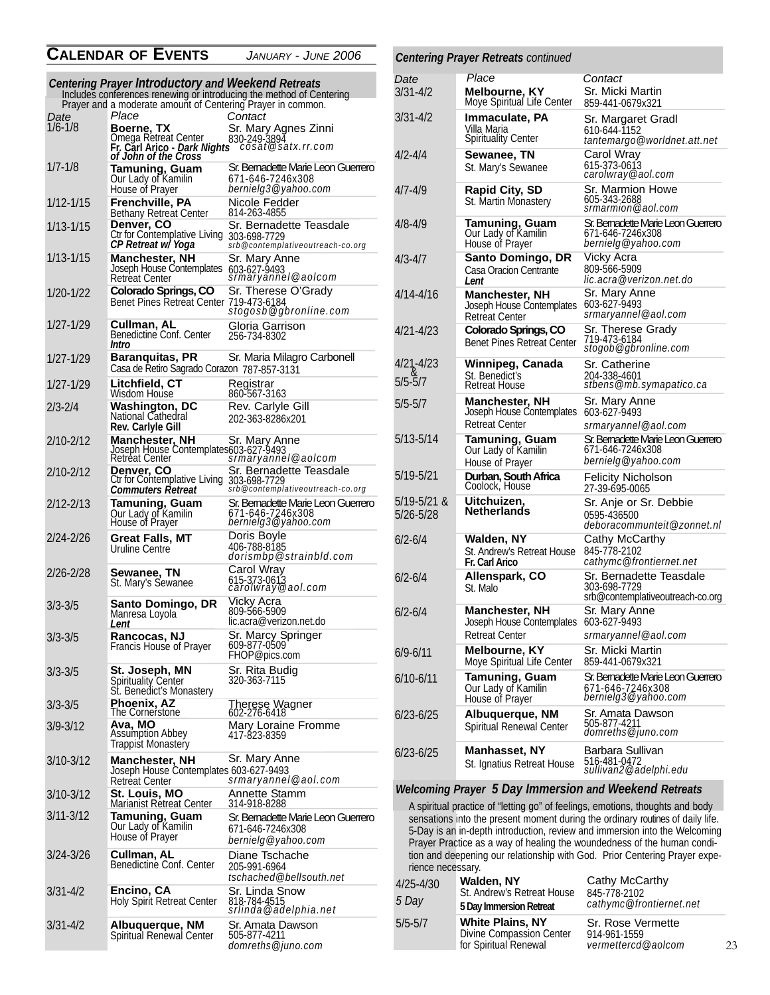#### **CALENDAR OF EVENTS** *JANUARY - JUNE 2006*

|               | Centering Prayer Introductory and Weekend Retreats                                                        | Includes conferences renewing or introducing the method of Centering         |
|---------------|-----------------------------------------------------------------------------------------------------------|------------------------------------------------------------------------------|
| Date          | Prayer and a moderate amount of Centering Prayer in common.<br>Place                                      | Contact                                                                      |
| $1/6 - 1/8$   | <b>Boerne, TX</b><br>Omega Retreat Center<br>Fr. Carl Arico - <i>Dark Nights<br/>of John of the Cross</i> | Sr. Mary Agnes Zinni<br>830-249-3894<br>cosat@satx.rr.com                    |
| $1/7 - 1/8$   | Tamuning, Guam<br>Our Lady of Kamilin<br>House of Prayer                                                  | Sr. Bemadette Marie Leon Guerrero<br>671-646-7246x308<br>bernielg3@yahoo.com |
| 1/12-1/15     | Frenchville, PA<br><b>Bethany Retreat Center</b>                                                          | Nicole Fedder<br>814-263-4855                                                |
| $1/13 - 1/15$ | Denver, CO<br>Ctr for Contemplative Living<br>CP Retreat w/ Yoga                                          | Sr. Bernadette Teasdale<br>303-698-7729<br>srb@contemplativeoutreach-co.org  |
| $1/13 - 1/15$ | <b>Manchester, NH</b><br>Joseph House Contemplates<br><b>Retreat Center</b>                               | Sr. Mary Anne<br>603-627-9493<br>srmaryannel@aolcom                          |
| 1/20-1/22     | Colorado Springs, CO<br>Benet Pines Retreat Center 719-473-6184                                           | Sr. Therese O'Grady<br>stogosb@gbronline.com                                 |
| $1/27 - 1/29$ | Cullman, AL<br>Benedictine Conf. Center<br>Intro                                                          | Gloria Garrison<br>256-734-8302                                              |
| 1/27-1/29     | Baranquitas, PR<br>Casa de Retiro Sagrado Corazon 787-857-3131                                            | Sr. Maria Milagro Carbonell                                                  |
| 1/27-1/29     | Litchfield, CT<br>Wisdom House                                                                            | Registrar<br>860-567-3163                                                    |
| $2/3 - 2/4$   | Washington, DC<br>National Cathedral<br>Rev. Carlyle Gill                                                 | Rev. Carlyle Gill<br>202-363-8286x201                                        |
| 2/10-2/12     | Manchester, NH<br>Retreat Center                                                                          | Sr. Mary Anne                                                                |
| 2/10-2/12     | Denver, CO Sr. Bernade<br>Ctr for Contemplative Living 303-698-7729<br>Commuters Retreat                  | Sr. Bernadette Teasdale<br>srb@contemplativeoutreach-co.org                  |
| 2/12-2/13     | Tamuning, Guam<br>Our Lady of Kamilin<br>House of Prayer                                                  | Sr. Bemadette Marie Leon Guerrero<br>671-646-7246x308<br>bernielg3@yahoo.com |
| 2/24-2/26     | Great Falls, MT<br>Uruline Centre                                                                         | Doris Boyle<br>406-788-8185<br><i>dorismbp@strainbld.com</i>                 |
| 2/26-2/28     | Sewanee, TN<br>St. Mary's Sewanee                                                                         | Carol Wray<br>615-373-0613<br><i>carolwray@aol.com</i>                       |
| 3/3-3/5       | Santo Domingo, DR<br>Manresa Loyola<br>Lent                                                               | Vicky Acra<br>809-566-5909<br>lic.acra@verizon.net.do                        |
| $3/3 - 3/5$   | Rancocas, NJ<br>Francis House of Prayer                                                                   | Sr. Marcy Springer<br>609-877-0509<br>FHOP@pics.com                          |
| $3/3 - 3/5$   | St. Joseph, MN<br>Spirituality Center<br>St. Benedict's Monastery                                         | Sr. Rita Budig<br>320-363-7115                                               |
| $3/3 - 3/5$   | Phoenix, AZ<br>The Cornerstone                                                                            | Therese Wagner<br>602-276-6418                                               |
| $3/9 - 3/12$  | Ava, MO<br><b>Assumption Abbey</b><br><b>Trappist Monastery</b>                                           | Mary Loraine Fromme<br>417-823-8359                                          |
| $3/10 - 3/12$ | <b>Manchester, NH</b><br>Joseph House Contemplates 603-627-9493<br>Retreat Center                         | Sr. Mary Anne<br>srmaryannel@aol.com                                         |
| 3/10-3/12     | St. Louis, MO<br>Marianist Rétreat Center                                                                 | Annette Stamm<br>314-918-8288                                                |
| $3/11 - 3/12$ | <b>Tamuning, Guam</b><br>Our Lady of Kamilin<br>House of Prayer                                           | Sr. Bemadette Marie Leon Guerrero<br>671-646-7246x308<br>bernielg@yahoo.com  |
| $3/24 - 3/26$ | Cullman, AL<br>Benedictine Conf. Center                                                                   | Diane Tschache<br>205-991-6964<br>tschached@bellsouth.net                    |
| 3/31-4/2      | Encino, CA<br><b>Holy Spirit Retreat Center</b>                                                           | Sr. Linda Snow<br>818-784-4515<br>srlinda@adelphia.net                       |
| $3/31 - 4/2$  | Albuquerque, NM<br>Spiritual Renewal Center                                                               | Sr. Amata Dawson<br>505-877-4211<br>domreths@juno.com                        |

#### 3/31-4/2 **Melbourne, KY** Moye Spiritual Life Center Sr. Micki Martin 859-441-0679x321 *Centering Prayer Retreats continued Date Place Contact*

| 3/31-4/2                 | Immaculate, PA<br>Villa Maria<br><b>Spirituality Center</b>          | Sr. Margaret Gradl<br>610-644-1152<br>tantemargo@worldnet.att.net            |  |
|--------------------------|----------------------------------------------------------------------|------------------------------------------------------------------------------|--|
| 4/2-4/4                  | Sewanee, TN<br>St. Mary's Sewanee                                    | Carol Wray<br>615-373-0613<br><i>carolwray@aol.com</i>                       |  |
| 4/7-4/9                  | <b>Rapid City, SD</b><br>St. Martin Monastery                        | Sr. Marmion Howe<br>605-343-2688<br>srmarmion@aol.com                        |  |
| 4/8-4/9                  | Tamuning, Guam<br>Our Lady of Kamilin<br>House of Prayer             | Sr. Bemadette Marie Leon Guerrero<br>671-646-7246x308<br>bernielg@yahoo.com  |  |
| 4/3-4/7                  | <b>Santo Domingo, DR</b><br>Casa Oracion Centrante<br>l ent          | Vicky Acra<br>809-566-5909<br>lic.acra@verizon.net.do                        |  |
| 4/14-4/16                | <b>Manchester, NH</b><br>Joseph House Contemplates<br>Retreat Center | Sr. Mary Anne<br>603-627-9493<br>srmaryannel@aol.com                         |  |
| 4/21-4/23                | Colorado Springs, CO<br><b>Benet Pines Retreat Center</b>            | Sr. Therese Grady<br>719-473-6184<br>stogob@gbronline.com                    |  |
| 4/21-4/23<br>5/5-5/7     | Winnipeg, Canada<br>St. Benedict's<br>Retreat House                  | Sr. Catherine<br>204-338-4601<br>stbens@mb.symapatico.ca                     |  |
| 5/5-5/7                  | <b>Manchester, NH</b><br>Joseph House Contemplates<br>Retreat Center | Sr. Mary Anne<br>603-627-9493<br>srmaryannel@aol.com                         |  |
| 5/13-5/14                | Tamuning, Guam<br>Our Lady of Kamilin<br>House of Prayer             | Sr. Bemadette Marie Leon Guerrero<br>671-646-7246x308<br>bernielg@yahoo.com  |  |
| 5/19-5/21                | Durban, South Africa<br>Coolock, House                               | <b>Felicity Nicholson</b><br>27-39-695-0065                                  |  |
| 5/19-5/21 &<br>5/26-5/28 | Uitchuizen,<br>Netherlands                                           | Sr. Anje or Sr. Debbie<br>0595-436500<br>deboracommunteit@zonnet.nl          |  |
| 6/2-6/4                  | Walden, NY<br>St. Andrew's Retreat House<br>Fr. Carl Arico           | Cathy McCarthy<br>845-778-2102<br>cathymc@frontiernet.net                    |  |
| 6/2-6/4                  | Allenspark, CO<br>St. Malo                                           | Sr. Bernadette Teasdale<br>303-698-7729<br>srb@contemplativeoutreach-co.org  |  |
| 6/2-6/4                  | Manchester, NH<br>Joseph House Contemplates<br><b>Retreat Center</b> | Sr. Mary Anne<br>603-627-9493<br>srmaryannel@aol.com                         |  |
| 6/9-6/11                 | Melbourne, KY<br>Moye Spiritual Life Center                          | Sr. Micki Martin<br>859-441-0679x321                                         |  |
| 6/10-6/11                | Tamuning, Guam<br>Our Lady of Kamilin<br>House of Prayer             | Sr. Bemadette Marie Leon Guerrero<br>671-646-7246x308<br>bernielg3@yahoo.com |  |
| 6/23-6/25                | Albuquerque, NM<br>Spiritual Renewal Center                          | Sr. Amata Dawson<br>505-877-4211<br>domreths@juno.com                        |  |
| 6/23-6/25                | Manhasset, NY<br>St. Ignatius Retreat House                          | Barbara Sullivan<br>516-481-0472<br>sullivan2@adelphi.edu                    |  |

*Welcoming Prayer 5 Day Immersion and Weekend Retreats* A spiritual practice of "letting go" of feelings, emotions, thoughts and body sensations into the present moment during the ordinary routines of daily life. 5-Day is an in-depth introduction, review and immersion into the Welcoming Prayer Practice as a way of healing the woundedness of the human condition and deepening our relationship with God. Prior Centering Prayer experience necessary.

| $4/25 - 4/30$<br>5 Day | Walden, NY<br>St. Andrew's Retreat House<br>5 Day Immersion Retreat          | Cathy McCarthy<br>845-778-2102<br>cathymc@frontiernet.net |  |
|------------------------|------------------------------------------------------------------------------|-----------------------------------------------------------|--|
| $5/5 - 5/7$            | <b>White Plains, NY</b><br>Divine Compassion Center<br>for Spiritual Renewal | Sr. Rose Vermette<br>914-961-1559<br>vermettercd@aolcom   |  |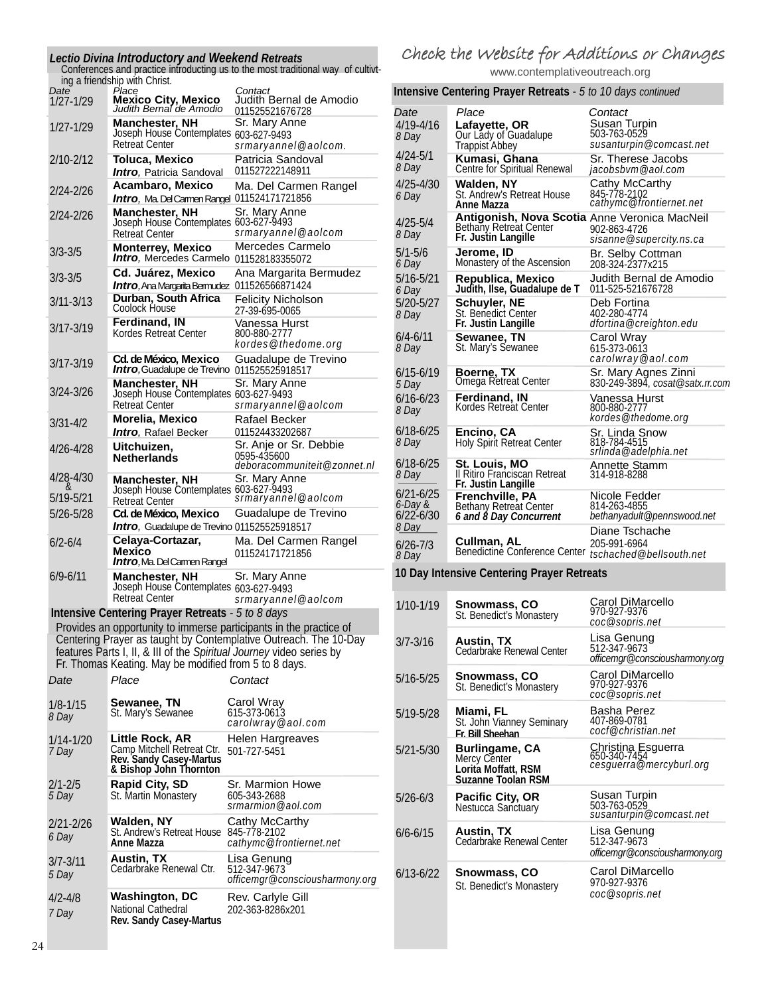|    |                       | Lectio Divina Introductory and Weekend Retreats<br>Conferences and practice introducting us to the most traditional way of cultivt-<br>ing a friendship with Christ. |                                                                                                                                        |  |
|----|-----------------------|----------------------------------------------------------------------------------------------------------------------------------------------------------------------|----------------------------------------------------------------------------------------------------------------------------------------|--|
|    | Date<br>$1/27 - 1/29$ | Place<br><b>Mexico City, Mexico</b><br>Judith Bernal de Amodio                                                                                                       | Contact<br>Judith Bernal de Amodio<br>011525521676728                                                                                  |  |
|    | 1/27-1/29             | <b>Manchester, NH</b><br>Joseph House Contemplates 603-627-9493<br><b>Retreat Center</b>                                                                             | Sr. Mary Anne                                                                                                                          |  |
|    | 2/10-2/12             | <b>Toluca, Mexico</b><br><b>Intro, Patricia Sandoval</b>                                                                                                             | srmaryannel@aolcom.<br>Patricia Sandoval<br>011527222148911                                                                            |  |
|    | 2/24-2/26             | Acambaro, Mexico<br>Intro, Ma. Del Camen Rangel 011524171721856                                                                                                      | Ma. Del Carmen Rangel                                                                                                                  |  |
|    | $2/24 - 2/26$         | Manchester, NH<br>Joseph House Contemplates 603-627-9493<br><b>Retreat Center</b>                                                                                    | Sr. Mary Anne<br>srmaryannel@aolcom                                                                                                    |  |
|    | $3/3 - 3/5$           | <b>Monterrey, Mexico</b><br>Intro, Mercedes Carmelo 011528183355072                                                                                                  | Mercedes Carmelo                                                                                                                       |  |
|    | $3/3 - 3/5$           | Cd. Juárez, Mexico                                                                                                                                                   | Ana Margarita Bermudez                                                                                                                 |  |
|    | $3/11 - 3/13$         | Intro, Ana Margarita Bermudez 011526566871424<br>Durban, South Africa<br>Coolock House                                                                               | <b>Felicity Nicholson</b><br>27-39-695-0065                                                                                            |  |
|    | $3/17 - 3/19$         | <b>Ferdinand, IN</b><br>Kordes Retreat Center                                                                                                                        | Vanessa Hurst<br>800-880-2777<br>kordes@thedome.org                                                                                    |  |
|    | $3/17 - 3/19$         | Cd. de México, Mexico<br><b>Intro, Guadalupe de Trevino 011525525918517</b>                                                                                          | Guadalupe de Trevino                                                                                                                   |  |
|    | 3/24-3/26             | <b>Manchester, NH</b><br>Joseph House Contemplates 603-627-9493<br>Retreat Center                                                                                    | Sr. Mary Anne<br>srmaryannel@aolcom                                                                                                    |  |
|    | 3/31-4/2              | Morelia, Mexico<br>Intro, Rafael Becker                                                                                                                              | Rafael Becker<br>011524433202687                                                                                                       |  |
|    | 4/26-4/28             | Uitchuizen.<br><b>Netherlands</b>                                                                                                                                    | Sr. Anje or Sr. Debbie<br>0595-435600                                                                                                  |  |
|    | 4/28-4/30             | Manchester, NH<br>Joseph House Contemplates 603-627-9493                                                                                                             | deboracommuniteit@zonnet.nl<br>Sr. Mary Anne                                                                                           |  |
|    | 5/19-5/21             | <b>Retreat Center</b>                                                                                                                                                | srmaryannel@aolcom                                                                                                                     |  |
|    | 5/26-5/28             | Cd. de México, Mexico<br>Intro, Guadalupe de Trevino 011525525918517                                                                                                 | Guadalupe de Trevino                                                                                                                   |  |
|    | 6/2-6/4               | Celaya-Cortazar,<br><b>Mexico</b><br><b>Intro, Ma. Del Camen Rangel</b>                                                                                              | Ma. Del Carmen Rangel<br>011524171721856                                                                                               |  |
|    | $6/9 - 6/11$          | <b>Manchester, NH</b><br>Joseph House Contemplates 603-627-9493<br><b>Retreat Center</b>                                                                             | Sr. Mary Anne<br>srmaryannel@aolcom                                                                                                    |  |
|    |                       | Intensive Centering Prayer Retreats - 5 to 8 days                                                                                                                    |                                                                                                                                        |  |
|    |                       | features Parts I, II, & III of the Spiritual Journey video series by                                                                                                 | Provides an opportunity to immerse participants in the practice of<br>Centering Prayer as taught by Contemplative Outreach. The 10-Day |  |
|    |                       | Fr. Thomas Keating. May be modified from 5 to 8 days.                                                                                                                |                                                                                                                                        |  |
|    | Date                  | Place                                                                                                                                                                | Contact                                                                                                                                |  |
|    | 1/8-1/15<br>8 Day     | Sewanee, TN<br>St. Mary's Sewanee                                                                                                                                    | Carol Wray<br>615-373-0613<br>carolwray@aol.com                                                                                        |  |
|    | 1/14-1/20<br>7 Day    | Little Rock, AR<br>Camp Mitchell Retreat Ctr.<br>Rev. Sandy Casey-Martus<br>& Bishop John Thornton                                                                   | Helen Hargreaves<br>501-727-5451                                                                                                       |  |
|    | $2/1 - 2/5$<br>5 Day  | <b>Rapid City, SD</b><br>St. Martin Monastery                                                                                                                        | Sr. Marmion Howe<br>605-343-2688<br>srmarmion@aol.com                                                                                  |  |
|    | 2/21-2/26<br>6 Day    | Walden, NY<br>St. Andrew's Retreat House<br>Anne Mazza                                                                                                               | Cathy McCarthy<br>845-778-2102<br>cathymc@frontiernet.net                                                                              |  |
|    | $3/7 - 3/11$<br>5 Day | Austin, TX<br>Cedarbrake Renewal Ctr.                                                                                                                                | Lisa Genung<br>512-347-9673<br>officemgr@consciousharmony.org                                                                          |  |
|    | 4/2-4/8<br>7 Day      | <b>Washington, DC</b><br>National Cathedral<br><b>Rev. Sandy Casey-Martus</b>                                                                                        | Rev. Carlyle Gill<br>202-363-8286x201                                                                                                  |  |
| 24 |                       |                                                                                                                                                                      |                                                                                                                                        |  |

#### Check the Website for Additions or Changes

www.contemplativeoutreach.org

*Contact* **Intensive Centering Prayer Retreats** *- 5 to 10 days continued*

| Date<br>$4/19 - 4/16$<br>8 Day        | Place<br>Lafayette, OR<br>Our Lady of Guadalupe<br>Trappist Abbey                              | Contact<br>Susan Turpin<br>503-763-0529<br>susanturpin@comcast.net |
|---------------------------------------|------------------------------------------------------------------------------------------------|--------------------------------------------------------------------|
| $4/24 - 5/1$<br>8 Day                 | Kumasi, Ghana<br>Centre for Spiritual Renewal                                                  | Sr. Therese Jacobs<br>jacobsbvm@aol.com                            |
| $4/25 - 4/30$<br>6 Day                | Walden, NY<br>St. Andrew's Retreat House<br>Anne Mazza                                         | Cathy McCarthy<br>845-778-2102<br>cathymc@frontiernet.net          |
| $4/25 - 5/4$<br>8 Day                 | Antigonish, Nova Scotia Anne Veronica MacNeil<br>Bethany Retreat Center<br>Fr. Justin Langille | 902-863-4726<br>sisanne@supercity.ns.ca                            |
| $5/1 - 5/6$<br>6 Day                  | Jerome, ID<br>Monastery of the Ascension                                                       | Br. Selby Cottman<br>208-324-2377x215                              |
| 5/16-5/21<br>6 Day                    | Republica, Mexico<br>Judith, Ilse, Guadalupe de T                                              | Judith Bernal de Amodio<br>011-525-521676728                       |
| 5/20-5/27<br>8 Day                    | Schuyler, NE<br>St. Benedict Center<br>Fr. Justin Langille                                     | Deb Fortina<br>402-280-4774<br>dfortina@creighton.edu              |
| $6/4 - 6/11$<br>8 Day                 | Sewanee, TN<br>St. Mary's Sewanee                                                              | Carol Wray<br>615-373-0613<br>carolwray@aol.com                    |
| $6/15 - 6/19$<br>5 Day                | Boerne, TX<br>Omega Retreat Center                                                             | Sr. Mary Agnes Zinni<br>830-249-3894, cosat@satx.rr.com            |
| $6/16 - 6/23$<br>8 Day                | Ferdinand, IN<br>Kordes Retreat Center                                                         | Vanessa Hurst<br>800-880-2777<br>kordes@thedome.org                |
| $6/18 - 6/25$<br>8 Day                | Encino, CA<br>Holy Spirit Retreat Center                                                       | Sr. Linda Snow<br>818-784-4515<br>srlinda@adelphia.net             |
| $6/18 - 6/25$<br>8 Day                | <u>St. Lou</u> is, MO<br>Il Ritiro Franciscan Retreat<br>Fr. Justin Langille                   | <b>Annette Stamm</b><br>314-918-8288                               |
| $6/21 - 6/25$<br>6-Day &<br>6/22-6/30 | Frenchville, PA<br>Bethany Retreat Center<br>6 and 8 Day Concurrent                            | Nicole Fedder<br>814-263-4855<br>bethanyadult@pennswood.net        |
| 8 Day<br>6/26-7/3<br>8 Day            | Cullman, AL<br>Benedictine Conference Center <i>ischached@bellsouth.net</i>                    | Diane Tschache<br>205-991-6964                                     |
|                                       | 10 Day Intensive Centering Prayer Retreats                                                     |                                                                    |
| $1/10 - 1/19$                         | Snowmass, CO<br>St. Benedict's Monastery                                                       | Carol DiMarcello<br>970-927-9376<br>coc@sopris.net                 |
| $3/7 - 3/16$                          | Austin, TX<br>Cedarbrake Renewal Center                                                        | Lisa Genung<br>512-347-9673<br>officemgr@consciousharmony.org      |
| $5/16 - 5/25$                         | Snowmass, CO<br>St. Benedict's Monastery                                                       | Carol DiMarcello<br>970-927-9376<br>coc@sopris.net                 |
| 5/19-5/28                             | Miami, FL<br>St. John Vianney Seminary<br>Fr. Bill Sheehan                                     | Basha Perez<br>407-869-0781<br>cocf@christian.net                  |
| $5/21 - 5/30$                         | <b>Burlingame, CA</b><br>Mercy Center<br>Lorita Moffatt, RSM<br>Suzanne Toolan RSM             | Christina Esguerra<br>650-340-7454<br>cesquerra@mercyburl.org      |
| $5/26 - 6/3$                          | <b>Pacific City, OR</b><br>Nestucca Sanctuary                                                  | Susan Turpin<br>503-763-0529<br>susanturpin@comcast.net            |
| $6/6 - 6/15$                          | <b>Austin, TX</b><br>Cedarbrake Renewal Center                                                 | Lisa Genung<br>512-347-9673<br>officemgr@consciousharmony.org      |
| $6/13 - 6/22$                         | Snowmass, CO<br>St. Benedict's Monastery                                                       | Carol DiMarcello<br>970-927-9376<br>coc@sopris.net                 |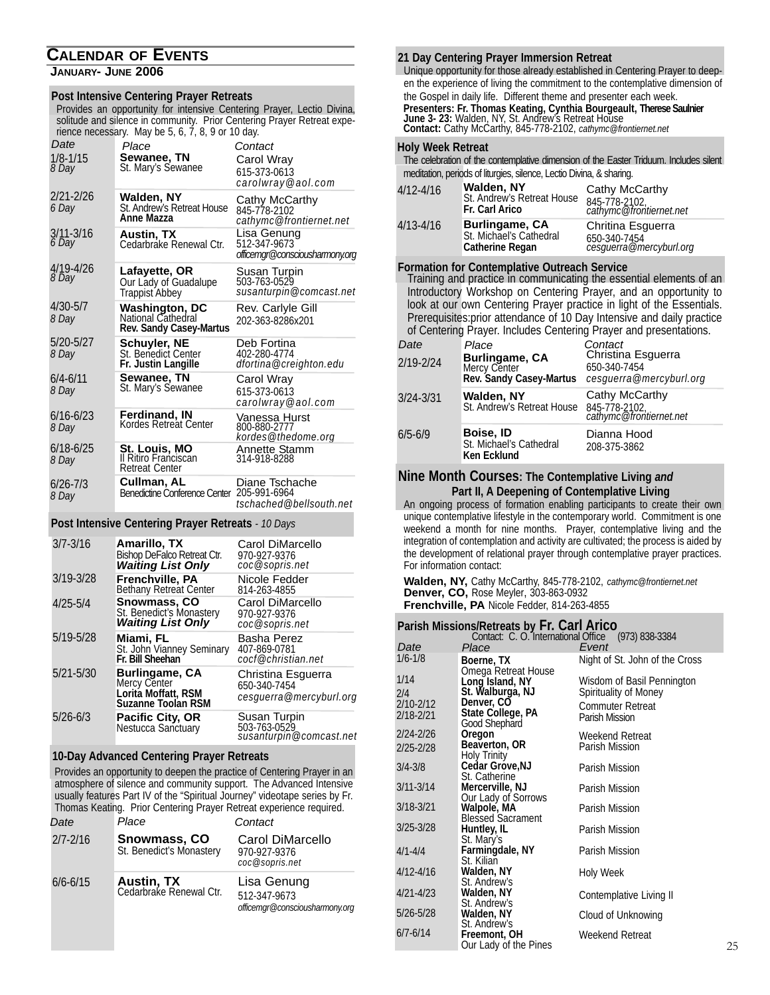#### **CALENDAR OF EVENTS**

#### **JANUARY- JUNE 2006**

#### **Post Intensive Centering Prayer Retreats**

Provides an opportunity for intensive Centering Prayer, Lectio Divina, solitude and silence in community. Prior Centering Prayer Retreat experience necessary. May be 5, 6, 7, 8, 9 or 10 day.

| Date<br>$1/8 - 1/15$<br>8 Day | Place<br>Sewanee, TN<br>St. Mary's Sewanee                             | Contact<br>Carol Wray<br>615-373-0613<br>carolwray@aol.com    |
|-------------------------------|------------------------------------------------------------------------|---------------------------------------------------------------|
| 2/21-2/26<br>6 Day            | Walden, NY<br>St. Andrew's Retreat House<br>Anne Mazza                 | Cathy McCarthy<br>845-778-2102<br>cathymc@frontiernet.net     |
| $3/11 - 3/16$<br>6 Day        | Austin, TX<br>Cedarbrake Renewal Ctr.                                  | Lisa Genung<br>512-347-9673<br>officemgr@consciousharmony.org |
| 4/19-4/26<br><i>8 Day</i>     | Lafayette, OR<br>Our Lady of Guadalupe<br>Trappist Abbey               | Susan Turpin<br>503-763-0529<br>susanturpin@comcast.net       |
| $4/30 - 5/7$<br>8 Day         | <b>Washington, DC</b><br>National Cathedral<br>Rev. Sandy Casey-Martus | Rev. Carlyle Gill<br>202-363-8286x201                         |
| 5/20-5/27<br>8 Day            | Schuyler, NE<br>St. Benedict Center<br>Fr. Justin Langille             | Deb Fortina<br>402-280-4774<br>dfortina@creighton.edu         |
| $6/4 - 6/11$<br>8 Day         | <b>Sewanee, TN</b><br>St. Mary's Sewanee                               | Carol Wray<br>615-373-0613<br>carolwray@aol.com               |
| $6/16 - 6/23$<br>8 Day        | Ferdinand, IN<br>Kordes Retreat Center                                 | Vanessa Hurst<br>800-880-2777<br>kordes@thedome.org           |
| $6/18 - 6/25$<br>8 Day        | <b>St. Louis, MO</b><br>Il Ritiro Franciscan<br><b>Retreat Center</b>  | Annette Stamm<br>314-918-8288                                 |
| $6/26 - 7/3$<br>8 Day         | Cullman, AL<br>Benedictine Conference Center                           | Diane Tschache<br>205-991-6964<br>tschached@bellsouth.net     |

**Post Intensive Centering Prayer Retreats** *- 10 Days*

| $3/7 - 3/16$  | Amarillo, TX<br>Bishop DeFalco Retreat Ctr.<br><b>Waiting List Only</b>            | Carol DiMarcello<br>970-927-9376<br>coc@sopris.net            |
|---------------|------------------------------------------------------------------------------------|---------------------------------------------------------------|
| $3/19 - 3/28$ | Frenchville, PA<br>Bethany Retreat Center                                          | Nicole Fedder<br>814-263-4855                                 |
| $4/25 - 5/4$  | <b>Snowmass, CO</b><br>St. Benedict's Monastery<br>Waiting List Only               | Carol DiMarcello<br>970-927-9376<br>coc@sopris.net            |
| 5/19-5/28     | Miami. FL<br>St. John Vianney Seminary<br>Fr. Bill Sheehan                         | Basha Perez<br>407-869-0781<br>cocf@christian.net             |
| $5/21 - 5/30$ | Burlingame, CA<br>Mercy Center<br>Loritá Moffatt, RSM<br><b>Suzanne Toolan RSM</b> | Christina Esquerra<br>650-340-7454<br>cesguerra@mercyburl.org |
| $5/26 - 6/3$  | <b>Pacific City, OR</b><br>Nestucca Sanctuary                                      | Susan Turpin<br>503-763-0529<br>susanturpin@comcast.net       |

#### **10-Day Advanced Centering Prayer Retreats**

Provides an opportunity to deepen the practice of Centering Prayer in an atmosphere of silence and community support. The Advanced Intensive usually features Part IV of the "Spiritual Journey" videotape series by Fr. Thomas Keating. Prior Centering Prayer Retreat experience required.

| Date         | Place                                        | Contact                                                       |
|--------------|----------------------------------------------|---------------------------------------------------------------|
| $2/7 - 2/16$ | Snowmass, CO<br>St. Benedict's Monastery     | Carol DiMarcello<br>970-927-9376<br>coc@sopris.net            |
| $6/6 - 6/15$ | <b>Austin, TX</b><br>Cedarbrake Renewal Ctr. | Lisa Genung<br>512-347-9673<br>officemgr@consciousharmony.org |

#### **21 Day Centering Prayer Immersion Retreat**

**Presenters: Fr. Thomas Keating, Cynthia Bourgeault, Therese Saulnier June 3- 23:** Walden, NY, St. Andrew's Retreat House **Contact:** Cathy McCarthy, 845-778-2102, *cathymc@frontiernet.net* Unique opportunity for those already established in Centering Prayer to deepen the experience of living the commitment to the contemplative dimension of the Gospel in daily life. Different theme and presenter each week.

#### *Contact* **Holy Week Retreat**

The celebration of the contemplative dimension of the Easter Triduum. Includes silent meditation, periods of liturgies, silence, Lectio Divina, & sharing.

| $4/12 - 4/16$ | Walden, NY<br>St. Andrew's Retreat House<br>Fr. Carl Arico                 | Cathy McCarthy<br>845-778-2102<br>cathymc@frontiernet.net    |  |
|---------------|----------------------------------------------------------------------------|--------------------------------------------------------------|--|
| $4/13 - 4/16$ | <b>Burlingame, CA</b><br>St. Michael's Cathedral<br><b>Catherine Regan</b> | Chritina Esquerra<br>650-340-7454<br>cesguerra@mercyburl.org |  |

#### **Formation for Contemplative Outreach Service**

Training and practice in communicating the essential elements of an Introductory Workshop on Centering Prayer, and an opportunity to look at our own Centering Prayer practice in light of the Essentials. Prerequisites:prior attendance of 10 Day Intensive and daily practice of Centering Prayer. Includes Centering Prayer and presentations.

| Date<br>$2/19 - 2/24$ | Place<br>Burlingame, CA<br>Mercy Center<br>Rev. Sandy Casey-Martus | Contact<br>Christina Esguerra<br>650-340-7454<br>cesquerra@mercyburl.org |
|-----------------------|--------------------------------------------------------------------|--------------------------------------------------------------------------|
| $3/24 - 3/31$         | Walden, NY<br>St. Andrew's Retreat House                           | Cathy McCarthy<br>845-778-2102,<br>cathymc@frontiernet.net               |
| $6/5 - 6/9$           | Boise, ID<br>St. Michael's Cathedral<br>Ken Ecklund                | Dianna Hood<br>208-375-3862                                              |

#### **Nine Month Courses: The Contemplative Living** *and* **Part II, A Deepening of Contemplative Living**

An ongoing process of formation enabling participants to create their own unique contemplative lifestyle in the contemporary world. Commitment is one weekend a month for nine months. Prayer, contemplative living and the integration of contemplation and activity are cultivated; the process is aided by the development of relational prayer through contemplative prayer practices. For information contact:

**Walden, NY,** Cathy McCarthy, 845-778-2102, *cathymc@frontiernet.net* **Denver, CO,** Rose Meyler, 303-863-0932 **Frenchville, PA** Nicole Fedder, 814-263-4855

#### **Parish Missions/Retreats by Fr. Carl Arico**

| Contact: C.O. International Office (973) 838-3384 |                                        |                                |  |
|---------------------------------------------------|----------------------------------------|--------------------------------|--|
| Date                                              | Place                                  | Event                          |  |
| $1/6 - 1/8$                                       | Boerne, TX                             | Night of St. John of the Cross |  |
| 1/14                                              | Omega Retreat House<br>Long Island, NY | Wisdom of Basil Pennington     |  |
| 2/4                                               | St. Walburga, NJ                       | Spirituality of Money          |  |
| 2/10-2/12                                         | Denver, CO                             | <b>Commuter Retreat</b>        |  |
| 2/18-2/21                                         | State College, PA<br>Good Shephard     | Parish Mission                 |  |
| 2/24-2/26                                         | Oregon                                 | Weekend Retreat                |  |
| 2/25-2/28                                         | Beaverton, OR<br>Holy Trinity          | Parish Mission                 |  |
| $3/4 - 3/8$                                       | Cedar Grove, NJ<br>St. Catherine       | Parish Mission                 |  |
| $3/11 - 3/14$                                     | Mercerville, NJ                        | Parish Mission                 |  |
| 3/18-3/21                                         | Our Lady of Sorrows<br>Walpole, MA     | Parish Mission                 |  |
|                                                   | <b>Blessed Sacrament</b>               |                                |  |
| $3/25 - 3/28$                                     | Huntley, IL<br>St. Mary's              | Parish Mission                 |  |
| $4/1 - 4/4$                                       | Farmingdale, NY                        | Parish Mission                 |  |
| 4/12-4/16                                         | St. Kilian<br>Walden, NY               | Holy Week                      |  |
|                                                   | St. Andrew's                           |                                |  |
| 4/21-4/23                                         | Walden, NY<br>St. Andrew's             | Contemplative Living II        |  |
| 5/26-5/28                                         | Walden, NY                             | Cloud of Unknowing             |  |
| $6/7 - 6/14$                                      | St. Andrew's<br>Freemont, OH           | Weekend Retreat                |  |
|                                                   | Our Lady of the Pines                  |                                |  |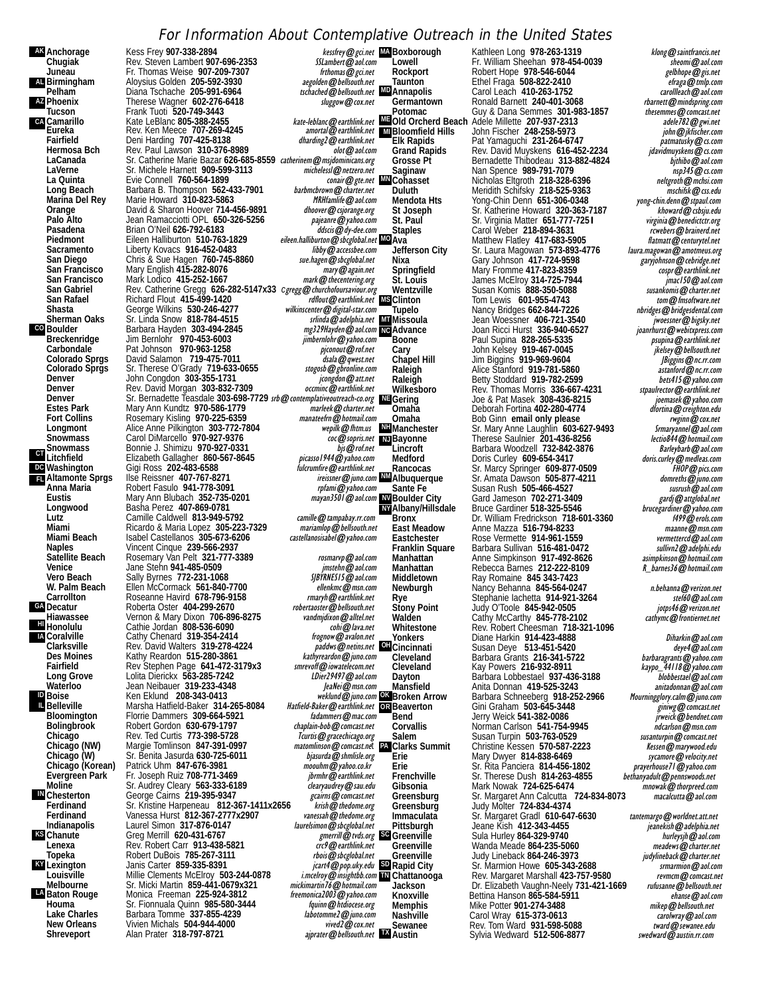#### For Information About Contemplative Outreach in the United States

**Anchorage Kess Frey 907-338-2894**<br>**Chugiak** Rev. Steven Lambert 907 **AK AL** Birmingham **AZ CA CO CT**<br>Litchfield **DC** Washington **FL** Altamonte Sprgs **GA H**immolulu **IA** Coralville **ID IL** Belleville **IN** Chesterton **KS** Chanute **KY LA** Baton Rouge

**Chugiak** Rev. Steven Lambert **907-696-2353** SSLambert@aol.com Fr. Thomas Weise **907-209-7307**<br>Aloysius Golden 205-592-3930 *aegolden@bellsouth.net* **Birmingham** Aloysius Golden **205-592-3930** aegolden@bellsouth.net Diana Tschache **205-991-6964** tschached@bellsouth.net<br>Therese Wagner 602-276-6418 suggow@cox.net Phoenix Therese Wagner 602-276-6418<br>Tucson Frank Tuoti 520-749-3443 **Camarillo** Kate LeBlanc **805-388-2455** kate-leblanc@earthlink.net **Eureka** Rev. Ken Meece **707-269-4245** amortal@earthlink.net **Fairfield** Deni Harding **707-425-8138** dharding2@earthlink.net **Hermosa Bch** Rev. Paul Lawson **310-376-8989** olot@aol.com LaCanada Sr. Catherine Marie Bazar 626-685-8559 catherinem@msjdominicans.org<br>LaVerne Sr. Michele Harnett 909-599-3113 michelessl@netzero.net LaVerne<br>
LaVerne<br>
La Quinta<br>
Evie Connell 760-564-1899 La Quinta **Evie Connell 760-564-1899** conair@gte.net Long Beach Barbara B. Thompson 562-433-7901 barbmcbrown@charter.net<br>Marina Del Rey Marie Howard 310-823-5863 MRHfamlife@aol.com Marina Del Rey Marie Howard 310-823-5863<br> **Carry Construct David & Sharon Hoover 714-456-9891** *MRHamlife@aol.com* **Orange** David & Sharon Hoover **714-456-9891** dhoover@csjorange.org **Palo Alto** Jean Ramacciotti OPL 650-326-5256<br>Pasadena Brian O'Neil 626-792-6183 **Pasadena** Brian O'Neil 626-792-6183<br>**Piedmont** Eileen Halliburton 510-763-1829 Piedmont Eileen Halliburton 510-763-1829 eileen.halliburton@sbcglobal.net Sacramento Liberty Kovacs **916-452-0483** libby@accessbee.com<br>
San Diego Chris & Sue Hagen 760-745-8860 *sue.hagen@sbcglobal.net* **San Diego** Chris & Sue Hagen **760-745-8860**<br>**San Francisco** Mary English 415-282-8076 San Francisco Mary English 415-282-8076<br>
San Francisco Mark Lodico 415-252-1667<br>
mark @ thecentering.org mark@thecentering.org Mark Lodico 415-252-1667<br>San Gabriel Rev. Catherine Gregg 626-282-5147x33 *cgregg@churchofoursaviour.org*<br>San Rafael Richard Flout 415-499-1420 rathout@earthlink.net **Shasta** George Wilkins **530-246-4277**<br>**Sherman Oaks** Sr. Linda Snow 818-784-4515 **Sheriffs** Snow **818-784-4515** Boulder **Barbara Hayden 303-494-2845** mg329Hayden@aol.com<br>Breckenridge Jim Bernlohr 970-453-6003 mbernlohr@yahoo.com Breckenridge Jim Bernlohr **970-453-6003** in Bernlohr **970-453-6003** in Bernlohr **970-453-6003** jimbernlohr@yahoo.com<br>Carbondale Pat Johnson **970-963-1258** piconout@rof.net Carbondale Pat Johnson **970-963-1258** pjessetted product and product and product colorado Sprgs David Salamon 719-475-7011 binding the colorado Sprgs Sr. Therese O'Grady 719-633-0655 stoges benever and product colorado Spr **Colorado Sprgs David Salamon 719-475-7011**<br>Colorado Sprgs Sr. Therese O'Grady 719-633-0 **Colorado Sprgs** Sr. Therese O'Grady **719-633-0655** stogosb@gbronline.com **Denver** John Congdon **303-355-1731** jcongdon@att.net **Denver** Rev. David Morgan **303-832-7309** occminc@earthlink.net<br>Denver Sr. Bernadette Teassdale **303-698-7729** sto @contemplativeoutreach-co.org Denver Sr. Bernadette Teasdale 303-698-7729 *srb@contemplativeoutreach-co.org* NE Estes Park Mary Ann Kundtz **970-586-1779 marleek@charter.net**<br>Fort Collins Rosemary Kisling 970-225-6359 *manateekm@hotmail.com* **Fort Collins Rosemary Kisling 970-225-6359** manateefrn @hotmail.com<br>
Longmont Alice Anne Pilkington 303-772-7804 manateefrn @htm.us **Longmont** Alice Anne Pilkington 303-772-7804 *wepilk@fhtm.us*<br>Snowmass Carol DiMarcello 970-927-9376 **Snowmass** Bonnie J. Shimizu **970-927-0331** bjs@rof.net Elizabeth Gallagher **860-567-8645** *picassol 944@yahoo.com*<br>Gigi Ross 202-483-6588 *bicrumfire@earthlink.net* **Gigi Ross 202-483-6588 Altamonte Sprgs** Ilse Reissner **407-767-8271** ireissner@juno.com Anna Maria **Canadia in the Robert Fasulo 941-778-3091** results and the marginal plant of the Eustis Control Mary Ann Blubach 352-735-0201 **Eustis** Mary Ann Blubach **352-735-0201**<br>
Longwood Basha Perez 407-869-0781 **Longwood** Basha Perez **407-869-0781 Lutz** Camille Caldwell **813-949-5792** camille@tampabay.rr.com **Miami** Ricardo & Maria Lopez **305-223-7329** mariamlop@bellsouth.net **Miami Beach** Isabel Castellanos **305-673-6206**<br>
Naples Vincent Cinque 239-566-2937 **Naples** Vincent Cinque **239-566-2937 Satellite Beach** Rosemary Van Pelt **321-777-3389** rosmarvp@aol.com **Venice** Jane Stehn 941-485-0509<br>**Vero Beach** Sally Byrnes 772-231-106 **Vero Beach** Sally Byrnes 772-231-1068 Superversion Superversion Superversion Superversion Season Communisty Cont<br>
W. Palm Beach Ellen McCormack 561-840-7700 W. Palm Beach Ellen McCormack 561-840-7700 allenkmc@msn.com<br>Carrollton **Beach Research Havird 678-796-9158** earthlink.net Roseanne Havird 678-796-9158 **rmaryh@earthlink.net**<br>Roberta Oster 404-299-2670 *robertaoster@bellsouth.net* **Decatur** Roberta Oster **404-299-2670** robertaoster@bellsouth.net Vernon & Mary Dixon **706-896-8275** vandmjdixon@alltel.net<br>Cathie Jordan 808-536-6090 Cathie Jordan **808-536-6090** cohi@lava.net<br>Cathy Chenard **319-354-2414** freenow@avalon.net **Coralville Cathy Chenard 319-354-2414<br>Clarksville Rev. David Walters 319-278-4 Clarksville** Rev. David Walters **319-278-4224** paddws@netins.net **Des Moines** Kathy Reardon **515-280-3861** kathyreardon@juno.com **Fairfield Rev Stephen Page 641-472-3179x3** *smrevoff@iowatelecom.net*<br>Cong Grove Lolita Dierickx 563-285-7242 Long Grove Lolita Dierickx 563-285-7242<br>Waterloo Jean Neibauer 319-233-4348 Jean Meibauer 319-233-4348 Jean Meibauer 319-233-4348 Ken Eklund **208-343-0413 Belleville** Marsha Hatfield-Baker **314-265-8084** Hatfield-Baker@earthlink.net **Bloomington** Florrie Dammers **309-664-5921** fadammers **@mac.com**<br> **Bolingbrook** Robert Gordon 630-679-1797 *chaplain-bob @comcast.net* **Bolingbrook** Robert Gordon 630-679-1797<br>Chicago Rev. Ted Curtis 773-398-5728 **Chicago** Rev. Ted Curtis **773-398-5728** Transformation Chicago.org Chicago.org Chicago.org Chicago.org Chicago.org Chicago (NW) Margie Tomlinson **847-391-0997** matomlinson **@**comcast.net<br>
Chicago (W) Sr. Benita Jasurda 63 Chicago (W) Sr. Benita Jasurda 630-725-6011 **bilasurda @shmlisle.org Chicago (Korean)** Patrick Uhm 847-676-3981 moouhm@yahoo.co.kr<br>
Evergreen Park Fr. Joseph Ruiz 708-771-3469 moouhm@earthlink.net Evergreen Park Fr. Joseph Ruiz 708-771-3469 *jbrmhr@earthlink.net*<br>Moline Sr. Audrey Cleary 563-333-6189 *dearyaudrey@sau.edu* Sr. Audrey Cleary **563-333-6189** clearyaudrey @sau.edu<br>George Cairns 219-395-9347 clearyaudres exams **compast.net** Chesterton Ceorge Cairns **219-395-9347**<br>
Ferdinand Sr. Kristine Harpeneau 812-367-1411x2656 *krish@thedome.org*<br>
Ferdinand Sr. Kristine Harpeneau 812-367-1411x2656 *krish@thedome.org* Ferdinand Sr. Kristine Harpeneau 812-367-1411x2656 *Krish@thedome.org*<br>Ferdinand Vanessa Hurst 812-367-2777x2907 vanessah@thedome.org **Ferdinand** Vanessa Hurst **812-367-2777x2907** vanessah@thedome.org Laurel Simon **317-876-0147 Chanute** Greg Merrill **620-431-6767** gmerrill@tvds.org **Lenexa** Rev. Robert Carr **913-438-5821** crc9@earthlink.net Robert DuBois **785-267-3111** Lexington Janis Carter 859-335-8391<br>Louisville Millie Clements McElroy 50 **Louisville** Millie Clements McElroy **503-244-0878** i.mcelroy@insightbb.com Sr. Micki Martin 859-441-0679x321 mickimartin<sup>77</sup>@hotmail.com<br>Monica Freeman 225-924-3812 freemonica2003@yahoo.com Baton Rouge **Monica Freeman 225-924-3812** *freemonica2003@yahoo.com*<br>Houma **Back Schemen Schemen 1985-580-3444** *fquinn@htdiocese.org* Houma **The Communist Communist Communist Communist Communist Communist Communist Communist Communist Communist C<br>Lake Charles Barbara Tomme 337-855-4239 <b>for the United Communist Communist Communist Communist Communist Com** Lake Charles Barbara Tomme 337-855-4239 labotomme2@juno.com<br>New Orleans Vivien Michals 504-944-4000 **New Orleans** Vivien Michals **504-944-4000**<br>**Shreveport** Alan Prater 318-797-8721

**Alan Prater 318-797-8721** 

kessfrey@gci.net MABOxborough<br>SSLambert@aol.com Lowell *tschached* @ bellsouth.net **MD** Annapolis rdflout @ earthlink.net **MS** Clinton wilkinscenter@digital-star.com Tupelo mg329Hayden@aol.com NG Advance coc@sopris.net **NJ**Bayonne ireissner@juno.com WMAIbuquerque **NV NY** amortal@earthlink.net MIBloomfield Hills paddws@netins.net **OH**Cincinnati weklund@juno.com OK Broken Arrow Hatfield-Baker@earthlink.net OR Beaverton

 $\frac{1}{\text{2}}$  aiprater  $\omega$  bellsouth.net  $\blacksquare$  Austin

**NH** Manchester **PA** Clarks Summit **SD** gmerrill@ tvds.org SC Greenville **TN**

Kathleen Long **978-263-1319** klong@saintfrancis.net<br>Fr. William Sheehan 978-454-0039 **klong@sail.com** Lowell Ter. William Sheehan **978-454-0039** sheomi@aol.com<br>Rockport Robert Hope **978-546-6044** selbhope@gis.net **Rockport** Robert Hope **978-546-6044** gelbhope@gis.net Ethel Fraga 508-822-2410<br>Carol Leach 410-263-1752<br>*Carol Leach 410-263-1752* earnward carolleach@aol.com **Annapolis** Carol Leach **410-263-1752** carollleach@aol.com Ronald Barnett **240-401-3068** rbarnett @mindspring.com<br>Guy & Dana Semmes 301-983-1857 thesemmes @comcast.net **Potomac** Guy & Dana Semmes 301-983-1857 *thesemmes @comcast.net* Compact Guy & Dana Semmes 301-983-1857 *thesemmes @comcast.net* adele782 **Cold Orcherd Beach Adéle Millette 207-937-2313** *adele782@gwi.net*<br>
Bloomfield Hills John Fischer 248-258-5973 *john@jkfischer.com*<br>
Elk Rapids Pat Yamaguchi 231-264-6747 *patmatusky@cs.com* Elk Rapids Pat Yamaguchi 231-264-6747 **patmatusky@cs.com**<br>Grand Rapids Rev. David Muyskens 616-452-2234 *jdavidmuyskens@cs.com* Grand Rapids Rev. David Muyskens **616-452-2234** jdavidmuyskens@cs.com<br>Grosse Pt Bernadette Thibodeau 313-882-4824 bjthibo@aol.com Grosse Pt Bernadette Thibodeau 313-882-4824 *bjthibo@aol.com*<br>Saginaw Nan Spence 989-791-7079 **Saginaw** Nan Spence **989-791-7079** nsp345@cs.com **Cohasset** Nicholas Eltgroth **218-328-6396** neltgroth@mchsi.com **Duluth** Meridith Schifsky **218-525-9363** mschifsk@css.edu **Mendota Hts** Yong-Chin Denn **651-306-0348** yong-chin.denn@stpaul.com **St Joseph** Sr. Katherine Howard **320-363-7187** (*howard@cbsju.edu*<br>
St. Paul Sr. Virginia Matter 651-777-7251 (*virginia@benedictctr.org* **St. Paul** Sr. Virginia Matter **651-777-7251** virginia@benedictctr.org **Staples** Carol Weber **218-894-3631** rcwebers@brainerd.net **Ava** Matthew Flatley 417-683-5905<br>
Matthew Flatley 417-683-5905<br>
Jefferson City Sr. Laura Magowan 573-893-4776 *laura.magowan@amotmeus.org* Jefferson City Sr. Laura Magowan 573-893-4776 *laura.magowan@amotmeus.org*<br>Nixa Gary Johnson 417-724-9598 *garyjohnson@cebridge.net*<br>Springfield Mary Fromme 417-823-8359 *cospr@earthlink.net* **St. Louis** James McElroy **314-725-7944** jmac150@aol.com **Wentzville** Susan Komis **888-350-5088** susankomis@charter.net Tom Lewis **601-955-4743 Consuming the Consumer Section Consumer**<br>Nancy Bridges **662-844-7226 the object of the object of the consumption Tupelo** Nancy Bridges **662-844-7226** nbridges@bridgesdental.com **Missoula** Jean Woessner **406-721-3540** jwoessner@bigsky.net **Advance** Joan Ricci Hurst **336-940-6527** joanrhurst@webitxpress.com **Boone** Paul Supina **828-265-5335** psupina@earthlink.net **Cary** John Kelsey **919-467-0045** jkelsey@bellsouth.net **Chapel Hill** Jim Biggins **919-969-9604** JBiggins@nc.rr.com **Raleigh** Alice Stanford **919-781-5860** astanford@nc.rr.com **Raleigh** Betty Stoddard **919-782-2599** bets415@yahoo.com Rev. Thomas Morris 336-667-4231 *stpaulrector@earthlink.net*<br>Joe & Pat Masek 308-436-8215 *jeemasek@yahoo.com* **Gering** Joe & Pat Masek **308-436-8215** joemasek@yahoo.com **Omaha** Deborah Fortina **402-280-4774** dfortina@creighton.edu **Omaha** Bob Ginn **email only please** rwginn@cox.net **Manchester** Sr. Mary Anne Laughlin **603-627-9493** Srmaryannel@aol.com **Bayonne** Therese Saulnier **201-436-8256** lectio844@hotmail.com Lincroft Barbara Woodzell **732-842-3876**<br>
Medford Doris Curley 609-654-3417 **Barbara Construction** Barbara Barbara Barbara Barbara Barbara Barbara Barbara Medford **Doris Curley 609-654-3417**<br>Rancocas Sr. Marcy Springer 609-877-0509 *FHOP@pics.com*<br>Albuquerque Sr. Amata Dawson 505-877-4211 *domreths@juno.com* **Sante Fe** Susan Rush **505-466-4527** susrush@aol.com **Boulder City** Gard Jameson **702-271-3409** gardj@attglobal.net **Albany/Hillsdale** Bruce Gardiner **518-325-5546** brucegardiner@yahoo.com **Albany/Hillsdale** Bruce Gardiner 518-325-5546 *brucegardiner@yahoo.com*<br>
Bronx Dr. William Fredrickson 718-601-3360<br>
East Meadow Anne Mazza 516-794-8233 East Meadow Anne Mazza 516-794-8233<br> **Eastchester** Rose Vermette 914-961-1559 maanne *wermetterd@aol.com* **Eastchester** Rose Vermette **914-961-1559** vermettercd@aol.com<br> **Franklin Square** Barbara Sullivan 516-481-0472 *sullivn2@adelphi.edu* **Franklin Square** Barbara Sullivan **516-481-0472** sullivn2@adelphi.edu **Manhattan Anne Simpkinson 917-492-8626** asimpkinson **ability assumption Anne Simple Constant Anne Simple Constant Anne Simple Constant Constant Constant Constant Constant Report of Manhattan <b>Anne Simple Constant Cons** Manhattan Rebecca Barnes **212-222-8109**<br>Middletown Ray Romaine 845 343-7423 **Middletown** Ray Romaine **845 343-7423 Newburgh 1988** Nancy Behanna **845-564-0247** n.behanna *@verizon.net*<br>
Rewburgh 1988 Nancy Behanna 845-564-0247 *n.behanna @verizon.net* Rye Stephanie Iachetta **914-921-3264** stereo stereo steffe and continuous Stephanie Stephanie Stephanie Stephanie Stephanie Stephanie Stephanie Stephanie Stephanie Stephanie Stephanie Stephanie Stephanie Stephanie Stephani **Stony Point** Judy O'Toole **845-942-0505** jotps46@verizon.net **Walden** Cathy McCarthy **845-778-2102** cathymc@frontiernet.net **Whitestone** Rev. Robert Cheesman **718-321-1096 Yonkers** Diane Harkin **914-423-4888** Diharkin@aol.com **Cincinnati** Susan Deye **513-451-5420**<br>Cleveland Barbara Grants 216-341-5722 *barbaragrants@yahoo.com* **Cleveland** Barbara Grants **216-341-5722** barbaragrants@yahoo.com Cleveland Kay Powers 216-932-8911 kaypo\_44118@yahoo.com<br>Dayton Barbara Lobbestael 937-436-3188 *bbbbestael@aol.com* **Dayton** Barbara Lobbestael **937-436-3188** blobbestael@aol.com **Mansfield** Anita Donnan **419-525-3243** anitadonnan@aol.com Barbara Schneeberg **918-252-2966**<br>
Barbara Schneeberg **918-252-2966** Mourningglory.calm@juno.com<br>
Gini Graham 503-645-3448 *gining@comcast.net*<br>
Jerry Weick 541-382-0086 **Beaverton**<br> **Beaverton**<br> **Bend Bend Bend Beaverton Cini Graham 503-645-3448 Bend** Jerry Weick 541-382-0086<br> **Corvallis** Morman Carlson 541-754-9945 *ndcarlson* @msn.com **Corvallis** Norman Carlson **541-754-9945** ndcarlson@msn.com Susan Turpin 503-763-0529<br>Christine Kessen 570-587-2223 **susanturpin@marywood.edu Clarks Summit** Christine Kessen **570-587-2223** Kessen Wessen Christine Kessen Kessen Christian Christian Christian<br>Erie Kessen Mary Dwyer 814-838-6469 **Erie** Mary Dwyer **814-838-6469** sycamore@velocity.net **Erie** Sr. Rita Panciera **814-456-1802**<br>**Frenchville** Sr. Therese Dush 814-263-4855 **Frenchville** Sr. Therese Dush 814-263-4855<br>**Gibsonia** Mark Nowak 724-625-6474 Frenchville First Schware Schware Schware Schware Schware Schware Schware Schware Chrome Content<br>
Gibsonia Mark Nowak **724-625-6474** mnowak@thorpreed.com<br>
Greensburg Sr. Margaret Ann Calcutta **724-834-8073** macalcutta@aol. **Greensburg Sr. Margaret Ann Calcutta 724-834-8073**<br>**Greensburg Judy Molter 724-834-4374** Greensburg Judy Molter 724-834-4374<br>Immaculata Sr. Margaret Gradl 610-64 **Immaculata** Sr. Margaret Gradl **610-647-6630** tantemargo@worldnet.att.net **Pittsburgh** Jeane Kish **412-343-4455** jeanekish@adelphia.net **Greenville** Sula Hurley 864-329-9740<br>
Greenville Wanda Meade 864-235-5060 *hurleysjh@aol.com*<br> *Greenville* Wanda Meade 864-235-5060 *meadews@charter.net* **Greenville** Wanda Meade **864-235-5060** meadews@charter.net **Greenville** Judy Lineback **864-246-3973** judylineback@charter.net **Rapid City** Sr. Marmion Howe **605-343-2688** srmarmion@aol.com<br>Rev. Margaret Marshall 423-757-9580 sremcm@comcast.net **Chattanooga** Rev. Margaret Marshall **423-757-9580** revmcm@comcast.net **Jackson** Dr. Elizabeth Vaughn-Neely **731-421-1669** rufusanne@bellsouth.net **Knoxville** Bettina Hanson 865-584-5911 ehanse@aol.com<br>Memphis Mike Potter 901-274-3488 https://www.mikep@bellsouth.net **Memphis** Mike Potter **901-274-3488** mikep@bellsouth.net<br>**Mashville** Carol Wray 615-373-0613 carolwray@aol.com **Nashville** Carol Wray **615-373-0613** carolwray@aol.com Rev. Tom Ward **931-598-5088** tward@sewanee.edu<br>Sylvia Wedward 512-506-8877 swedward@austin.rr.com Sylvia Wedward **512-506-8877**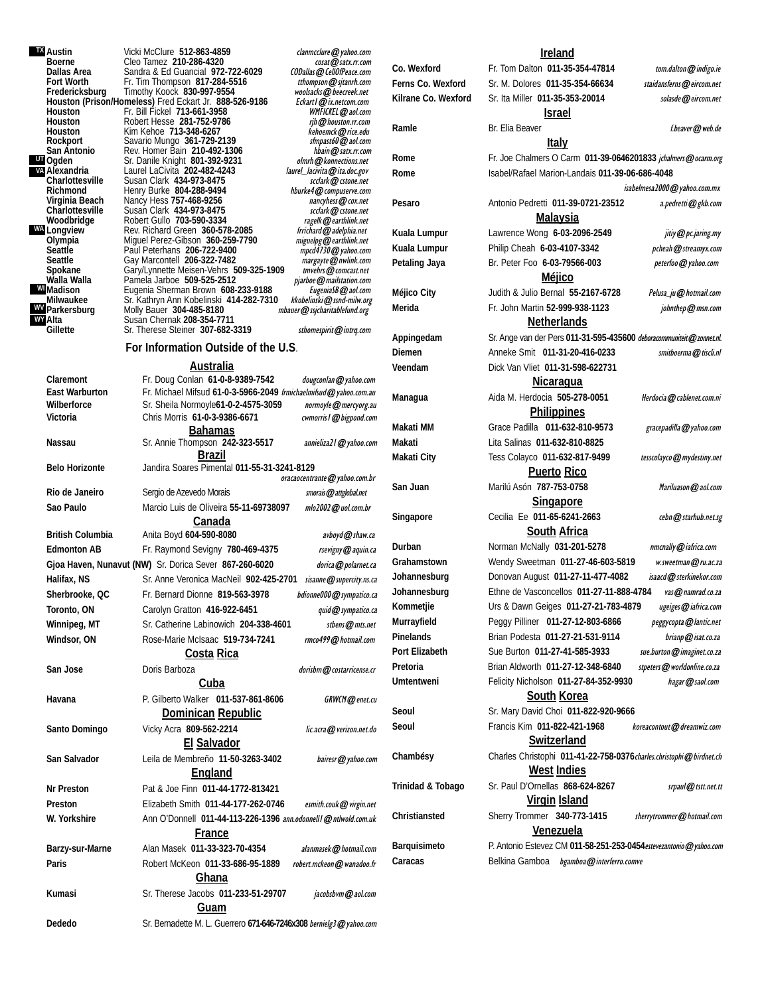**TX UT** Ogden **VA WA** Longview **WY WI** Madison **WV** Parkersburg

**Austin** Vicki McClure **512-863-4859** clanmcclure@yahoo.com<br> **Boerne** Cleo Tamez 210-286-4320 cosat@satx.rr.com **Boerne** Cleo Tamez **210-286-4320** cosat@satx.rr.com **Dallas Area** Sandra & Ed Guancial **972-722-6029** CODallas @ CellOfPeace.com<br>**Fort Worth** Fr. Tim Thompson 817-284-5516 *thompson @ sitanrh.com* Fr. Tim Thompson 817-284-5516 tthompson@sjtanrh.com<br>Timothy Koock 830-997-9554 woolsacks@beecreek.net **Fredericksburg Timothy Koock 830-997-9554**<br>**Houston (Prison/Homeless)** Fred Eckart Jr. 888-526-9186 *Eckartl@ix.netcom.com* **Houston** Fr. Bill Fickel **713-661-3958** WMFICKEL@aol.com **Houston** Robert Hesse **281-752-9786** rjh@houston.rr.com **Houston** Kim Kehoe **713-348-6267** kehoemck@rice.edu **Rockport** Savario Mungo **361-729-2139** sfmpast60@aol.com **San Antonio** Rev. Homer Bain **210-492-1306** hbain@satx.rr.com San Antonio Rev. Homer Bain 210-492-1306 **blain@satx.rr.com**<br>Ogden Sr. Danile Knight 801-392-9231 *olmrh@konnections.net*<br>Alexandria Laurel LaCivita 202-482-4243 *laurel\_lacivita@ita.doc.gov* **Alexandria** Laurel LaCivita **202-482-4243** laurel\_lacivita@ita.doc.gov **Charlottesville** Susan Clark **434-973-8475** scclark@cstone.net **Richmond** Henry Burke **804-288-9494** hburke4@compuserve.com **Virginia Beach** Mancy Hess 757-468-9256<br>Charlottesville Susan Clark 434-973-8475 scclark@cstone.net **Woodbridge** Robert Gullo **703-590-3334** ragelk@earthlink.net **Longview** Rev. Richard Green **360-578-2085** frrichard@adelphia.net **Olympia** Miguel Perez-Gibson **360-259-7790** miguelpg@earthlink.net **Seattle** Paul Peterhans **206-722-9400** mpcd4730@yahoo.com **Seattle** Gay Marcontell **206-322-7482** margayte@nwlink.com **Spokane** Gary/Lynnette Meisen-Vehrs **509-325-1909** tmvehrs@comcast.net **Walla Walla** Pamela Jarboe **509-525-2512** pjarboe@mailstation.com **Madison** Eugenia Sherman Brown **608-233-9188** EugeniaSB@aol.com **Milwaukee** Sr. Kathryn Ann Kobelinski **414-282-7310** kkobelinski@ssnd-milw.org mbauer @ssjcharitablefund.org **Alta** Susan Chernak 208-354-7711<br> **Gillette** Sr. Therese Steiner 307-682-Sr. Therese Steiner **307-682-3319** sthomespirit@intrq.com

#### **For Information Outside of the U.S**.

#### **Australia**

| Claremont             | Fr. Doug Conlan 61-0-8-9389-7542                                   | dougconlan@yahoo.com         |
|-----------------------|--------------------------------------------------------------------|------------------------------|
| East Warburton        | Fr. Michael Mifsud 61-0-3-5966-2049 frmichaelmifsud@yahoo.com.au   |                              |
| Wilberforce           | Sr. Sheila Normoyle61-0-2-4575-3059                                | normoyle@mercyorg.au         |
| Victoria              | Chris Morris 61-0-3-9386-6671                                      | cwmorris I @ bigpond.com     |
| Nassau                | <b>Bahamas</b><br>Sr. Annie Thompson 242-323-5517                  | annieliza21@yahoo.com        |
|                       | <b>Brazil</b>                                                      |                              |
| <b>Belo Horizonte</b> | Jandira Soares Pimental 011-55-31-3241-8129                        |                              |
|                       |                                                                    | oracaocentrante@yahoo.com.br |
| Rio de Janeiro        | Sergio de Azevedo Morais                                           | smorais@attglobal.net        |
| Sao Paulo             | Marcio Luis de Oliveira 55-11-69738097                             | mlo2002@uol.com.br           |
|                       | Canada                                                             |                              |
| British Columbia      | Anita Boyd 604-590-8080                                            | avboyd@shaw.ca               |
| <b>Edmonton AB</b>    | Fr. Raymond Sevigny 780-469-4375                                   | rsevigny@aquin.ca            |
|                       | Gjoa Haven, Nunavut (NW) Sr. Dorica Sever 867-260-6020             | dorica@polarnet.ca           |
| Halifax, NS           | Sr. Anne Veronica MacNeil 902-425-2701                             | sisanne@supercity.ns.ca      |
| Sherbrooke, QC        | Fr. Bernard Dionne 819-563-3978                                    | bdionne000@sympatico.ca      |
| Toronto, ON           | Carolyn Gratton 416-922-6451                                       | quid@sympatico.ca            |
| Winnipeg, MT          | Sr. Catherine Labinowich 204-338-4601                              | stbens@mts.net               |
| Windsor, ON           | Rose-Marie McIsaac 519-734-7241                                    | rmco499@hotmail.com          |
|                       | Costa Rica                                                         |                              |
| San Jose              | Doris Barboza                                                      | dorisbm@costarricense.cr     |
|                       | Cuba                                                               |                              |
| Havana                | P. Gilberto Walker 011-537-861-8606                                | GRWCM@enet.cu                |
|                       | Dominican Republic                                                 |                              |
| Santo Domingo         | Vicky Acra 809-562-2214                                            | lic.acra@verizon.net.do      |
|                       | <b>El Salvador</b>                                                 |                              |
| San Salvador          | Leila de Membreño 11-50-3263-3402                                  | bairesr@yahoo.com            |
|                       | England                                                            |                              |
| Nr Preston            | Pat & Joe Finn 011-44-1772-813421                                  |                              |
| Preston               | Elizabeth Smith 011-44-177-262-0746                                | esmith.couk@virgin.net       |
| W. Yorkshire          | Ann O'Donnell 011-44-113-226-1396 ann.odonnell @ ntlwold.com.uk    |                              |
|                       | France                                                             |                              |
| Barzy-sur-Marne       | Alan Masek 011-33-323-70-4354                                      | alanmasek@hotmail.com        |
| Paris                 | Robert McKeon 011-33-686-95-1889                                   | robert.mckeon@wanadoo.fr     |
|                       | <b>Ghana</b>                                                       |                              |
| Kumasi                | Sr. Therese Jacobs 011-233-51-29707                                | jacobsbym@aol.com            |
|                       | <u>Guam</u>                                                        |                              |
| Dededo                | Sr. Bernadette M. L. Guerrero 671-646-7246x308 bernielg3@yahoo.com |                              |

**Ireland Co. Wexford** Fr. Tom Dalton **011-35-354-47814** tom.dalton@indigo.ie Ferns Co. Wexford Sr. M. Dolores 011-35-354-66634 staidansferns@eircom.net Kilrane Co. Wexford Sr. Ita Miller 011-35-353-20014 solasde@eircom.net **Israel Ramle** Br. Elia Beaver **Example 3 Example 3 Example 3 Example 3 Example 3 Example 3 Example 4 Example 3 Example 4 Example 4 Example 4 Example 4 Example 4 Example 4 Example 4 Example 4 Example 4 Example 4 Example 4 Example Italy Rome** Fr. Joe Chalmers O Carm **011-39-0646201833** jchalmers@ocarm.org **Rome** Isabel/Rafael Marion-Landais **011-39-06-686-4048** isabelmesa2000@yahoo.com.mx **Pesaro** Antonio Pedretti **011-39-0721-23512** a.pedretti@gkb.com **Malaysia** Kuala Lumpur Lawrence Wong 6-03-2096-2549 *jitiy@pc.jaring.my* Kuala Lumpur **Philip Cheah 6-03-4107-3342** pcheah @streamyx.com Petaling Jaya Br. Peter Foo 6-03-79566-003 peterfoo@yahoo.com **Méjico Méjico City** Judith & Julio Bernal **55-2167-6728** Pelusa ju@hotmail.com **Merida** Fr. John Martin **52-999-938-1123** johnthep@msn.com **Netherlands Appingedam** Sr. Ange van der Pers **011-31-595-435600** deboracommuniteit@zonnet.nl. **Diemen** Anneke Smit **011-31-20-416-0233** smitboerma@tiscli.nl **Veendam** Dick Van Vliet **011-31-598-622731 Nicaragua** Managua **Managua** Aida M. Herdocia 505-278-0051 Herdocia@cablenet.com.ni **Philippines Makati MM** Grace Padilla **011-632-810-9573** gracepadilla@yahoo.com **Makati** Lita Salinas **011-632-810-8825 Makati City** Tess Colayco **011-632-817-9499** tesscolayco@mydestiny.net **Puerto Rico San Juan** Marilú Asón **787-753-0758** Mariluason@aol.com **Singapore** Singapore **Cecilia Ee 011-65-6241-2663** cebn@starhub.net.sg **South Africa Durban Norman McNally 031-201-5278** *nmcnally @iafrica.com* **Grahamstown** Wendy Sweetman **011-27-46-603-5819** w.sweetman@ru.ac.za Johannesburg **Donovan August 011-27-11-477-4082** isaacd@sterkinekor.com **Johannesburg** Ethne de Vasconcellos **011-27-11-888-4784** vas@namrad.co.za **Kommetjie** Urs & Dawn Geiges **011-27-21-783-4879** ugeiges@iafrica.com **Murrayfield** Peggy Pilliner **011-27-12-803-6866** peggycopta@lantic.net Pinelands **Brian Podesta 011-27-21-531-9114** brianp@isat.co.za Port Elizabeth Sue Burton 011-27-41-585-3933 *sue.burton@imaginet.co.za* Pretoria **Brian Aldworth 011-27-12-348-6840** stpeters@worldonline.co.za **Umtentweni** Felicity Nicholson **011-27-84-352-9930** hagar@saol.com **South Korea Seoul** Sr. Mary David Choi **011-822-920-9666**  Seoul Francis Kim 011-822-421-1968 koreacontout@dreamwiz.com **Switzerland Chambésy** Charles Christophi **011-41-22-758-0376**charles.christophi@birdnet.ch **West Indies Trinidad & Tobago** Sr. Paul D'Ornellas 868-624-8267 srpaul@tstt.net.tt **Virgin Island Christiansted** Sherry Trommer **340-773-1415** sherrytrommer@hotmail.com **Venezuela Barquisimeto** P. Antonio Estevez CM **011-58-251-253-0454**estevezantonio@yahoo.com Caracas **Belkina Gamboa** bgamboa **@interferro.comve**